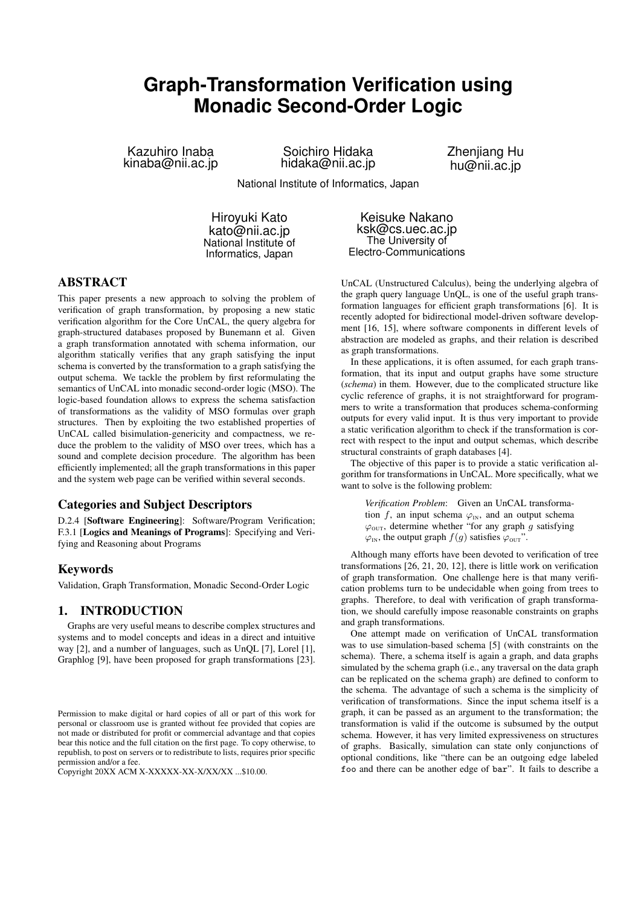# **Graph-Transformation Verification using Monadic Second-Order Logic**

Kazuhiro Inaba kinaba@nii.ac.jp

Soichiro Hidaka hidaka@nii.ac.jp Zhenjiang Hu hu@nii.ac.jp

National Institute of Informatics, Japan

Hiroyuki Kato kato@nii.ac.jp National Institute of Informatics, Japan

Keisuke Nakano ksk@cs.uec.ac.jp The University of Electro-Communications

# ABSTRACT

This paper presents a new approach to solving the problem of verification of graph transformation, by proposing a new static verification algorithm for the Core UnCAL, the query algebra for graph-structured databases proposed by Bunemann et al. Given a graph transformation annotated with schema information, our algorithm statically verifies that any graph satisfying the input schema is converted by the transformation to a graph satisfying the output schema. We tackle the problem by first reformulating the semantics of UnCAL into monadic second-order logic (MSO). The logic-based foundation allows to express the schema satisfaction of transformations as the validity of MSO formulas over graph structures. Then by exploiting the two established properties of UnCAL called bisimulation-genericity and compactness, we reduce the problem to the validity of MSO over trees, which has a sound and complete decision procedure. The algorithm has been efficiently implemented; all the graph transformations in this paper and the system web page can be verified within several seconds.

# Categories and Subject Descriptors

D.2.4 [Software Engineering]: Software/Program Verification; F.3.1 [Logics and Meanings of Programs]: Specifying and Verifying and Reasoning about Programs

### Keywords

Validation, Graph Transformation, Monadic Second-Order Logic

# 1. INTRODUCTION

Graphs are very useful means to describe complex structures and systems and to model concepts and ideas in a direct and intuitive way [2], and a number of languages, such as UnQL [7], Lorel [1], Graphlog [9], have been proposed for graph transformations [23].

Copyright 20XX ACM X-XXXXX-XX-X/XX/XX ...\$10.00.

UnCAL (Unstructured Calculus), being the underlying algebra of the graph query language UnQL, is one of the useful graph transformation languages for efficient graph transformations [6]. It is recently adopted for bidirectional model-driven software development [16, 15], where software components in different levels of abstraction are modeled as graphs, and their relation is described as graph transformations.

In these applications, it is often assumed, for each graph transformation, that its input and output graphs have some structure (*schema*) in them. However, due to the complicated structure like cyclic reference of graphs, it is not straightforward for programmers to write a transformation that produces schema-conforming outputs for every valid input. It is thus very important to provide a static verification algorithm to check if the transformation is correct with respect to the input and output schemas, which describe structural constraints of graph databases [4].

The objective of this paper is to provide a static verification algorithm for transformations in UnCAL. More specifically, what we want to solve is the following problem:

*Verification Problem*: Given an UnCAL transformation *f*, an input schema  $\varphi_{\text{IN}}$ , and an output schema  $\varphi$ <sub>OUT</sub>, determine whether "for any graph *g* satisfying  $\varphi$ <sub>IN</sub>, the output graph *f*(*g*) satisfies  $\varphi$ <sub>OUT</sub>".

Although many efforts have been devoted to verification of tree transformations [26, 21, 20, 12], there is little work on verification of graph transformation. One challenge here is that many verification problems turn to be undecidable when going from trees to graphs. Therefore, to deal with verification of graph transformation, we should carefully impose reasonable constraints on graphs and graph transformations.

One attempt made on verification of UnCAL transformation was to use simulation-based schema [5] (with constraints on the schema). There, a schema itself is again a graph, and data graphs simulated by the schema graph (i.e., any traversal on the data graph can be replicated on the schema graph) are defined to conform to the schema. The advantage of such a schema is the simplicity of verification of transformations. Since the input schema itself is a graph, it can be passed as an argument to the transformation; the transformation is valid if the outcome is subsumed by the output schema. However, it has very limited expressiveness on structures of graphs. Basically, simulation can state only conjunctions of optional conditions, like "there can be an outgoing edge labeled foo and there can be another edge of bar". It fails to describe a

Permission to make digital or hard copies of all or part of this work for personal or classroom use is granted without fee provided that copies are not made or distributed for profit or commercial advantage and that copies bear this notice and the full citation on the first page. To copy otherwise, to republish, to post on servers or to redistribute to lists, requires prior specific permission and/or a fee.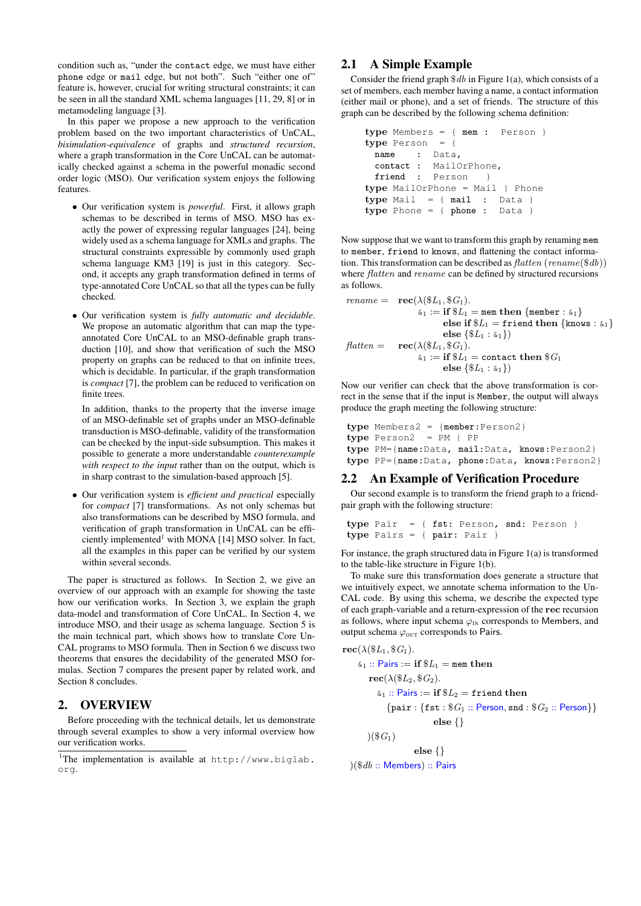condition such as, "under the contact edge, we must have either phone edge or mail edge, but not both". Such "either one of" feature is, however, crucial for writing structural constraints; it can be seen in all the standard XML schema languages [11, 29, 8] or in metamodeling language [3].

In this paper we propose a new approach to the verification problem based on the two important characteristics of UnCAL, *bisimulation-equivalence* of graphs and *structured recursion*, where a graph transformation in the Core UnCAL can be automatically checked against a schema in the powerful monadic second order logic (MSO). Our verification system enjoys the following features.

- *•* Our verification system is *powerful*. First, it allows graph schemas to be described in terms of MSO. MSO has exactly the power of expressing regular languages [24], being widely used as a schema language for XMLs and graphs. The structural constraints expressible by commonly used graph schema language KM3 [19] is just in this category. Second, it accepts any graph transformation defined in terms of type-annotated Core UnCAL so that all the types can be fully checked.
- *•* Our verification system is *fully automatic and decidable*. We propose an automatic algorithm that can map the typeannotated Core UnCAL to an MSO-definable graph transduction [10], and show that verification of such the MSO property on graphs can be reduced to that on infinite trees, which is decidable. In particular, if the graph transformation is *compact* [7], the problem can be reduced to verification on finite trees.

In addition, thanks to the property that the inverse image of an MSO-definable set of graphs under an MSO-definable transduction is MSO-definable, validity of the transformation can be checked by the input-side subsumption. This makes it possible to generate a more understandable *counterexample with respect to the input* rather than on the output, which is in sharp contrast to the simulation-based approach [5].

*•* Our verification system is *efficient and practical* especially for *compact* [7] transformations. As not only schemas but also transformations can be described by MSO formula, and verification of graph transformation in UnCAL can be efficiently implemented<sup>1</sup> with MONA [14] MSO solver. In fact, all the examples in this paper can be verified by our system within several seconds.

The paper is structured as follows. In Section 2, we give an overview of our approach with an example for showing the taste how our verification works. In Section 3, we explain the graph data-model and transformation of Core UnCAL. In Section 4, we introduce MSO, and their usage as schema language. Section 5 is the main technical part, which shows how to translate Core Un-CAL programs to MSO formula. Then in Section 6 we discuss two theorems that ensures the decidability of the generated MSO formulas. Section 7 compares the present paper by related work, and Section 8 concludes.

# 2. OVERVIEW

Before proceeding with the technical details, let us demonstrate through several examples to show a very informal overview how our verification works.

# 2.1 A Simple Example

Consider the friend graph \$*db* in Figure 1(a), which consists of a set of members, each member having a name, a contact information (either mail or phone), and a set of friends. The structure of this graph can be described by the following schema definition:

```
type Members = { mem : Person }
type Person = {
 name : Data,
 contact : MailOrPhone,
 friend : Person }
type MailOrPhone = Mail | Phone
type Mail = { mail : Data }
type Phone = { phone : Data }
```
Now suppose that we want to transform this graph by renaming mem to member, friend to knows, and flattening the contact information. This transformation can be described as *flatten* (*rename*(\$*db*)) where *flatten* and *rename* can be defined by structured recursions as follows.

$$
\begin{array}{rl} \textit{rename} = & \mathbf{rec}(\lambda(\$L_1, \$G_1).\\ &\qquad \& 1 := \mathbf{if} \$L_1 = \texttt{mem} \text{ then } \{\texttt{member} : \& 1\} \\ & \qquad \qquad \text{else if } \$L_1 = \texttt{friend} \text{ then } \{\texttt{knows} : \& 1\} \\ & \qquad \qquad \text{else } \{\$L_1 : \& 1\}) \\ & \qquad \qquad \text{free}(\lambda(\$L_1, \$G_1).\\ & \qquad \qquad \& 1 := \mathbf{if} \,\$L_1 = \texttt{contact} \text{ then } \$G_1 \\ & \qquad \qquad \text{else } \{\$L_1 : \& 1\}) \end{array}
$$

Now our verifier can check that the above transformation is correct in the sense that if the input is Member, the output will always produce the graph meeting the following structure:

```
type Members2 = {member:Person2}
type Person2 = PM | PP
type PM={name:Data, mail:Data, knows:Person2}
type PP={name:Data, phone:Data, knows:Person2}
```
# 2.2 An Example of Verification Procedure

Our second example is to transform the friend graph to a friendpair graph with the following structure:

**type** Pair = { fst: Person, snd: Person } **type** Pairs = { pair: Pair }

For instance, the graph structured data in Figure 1(a) is transformed to the table-like structure in Figure 1(b).

To make sure this transformation does generate a structure that we intuitively expect, we annotate schema information to the Un-CAL code. By using this schema, we describe the expected type of each graph-variable and a return-expression of the **rec** recursion as follows, where input schema  $\varphi_{IN}$  corresponds to Members, and output schema  $\varphi_{\text{OUT}}$  corresponds to Pairs.

$$
\begin{aligned}\n\text{rec}(\lambda(\$L_1, \$G_1).\n\end{aligned}
$$
\n
$$
\begin{aligned}\n\text{c}_1 :: \text{Pairs} &:= \text{if } \$L_1 = \text{mem then} \\
\text{rec}(\lambda(\$L_2, \$G_2).\n\end{aligned}
$$
\n
$$
\begin{aligned}\n\text{c}_1 :: \text{Pairs} &:= \text{if } \$L_2 = \text{friend then} \\
\{\text{pair} : \{\text{fst} : \$G_1 :: \text{Person}, \text{snd} : \$G_2 :: \text{Person}\} \} \\
\text{else } \{\}\n\end{aligned}
$$
\n
$$
)(\$G_1)
$$

**else** *{}* )(\$*db* :: Members) :: Pairs

<sup>1</sup>The implementation is available at http://www.biglab. org.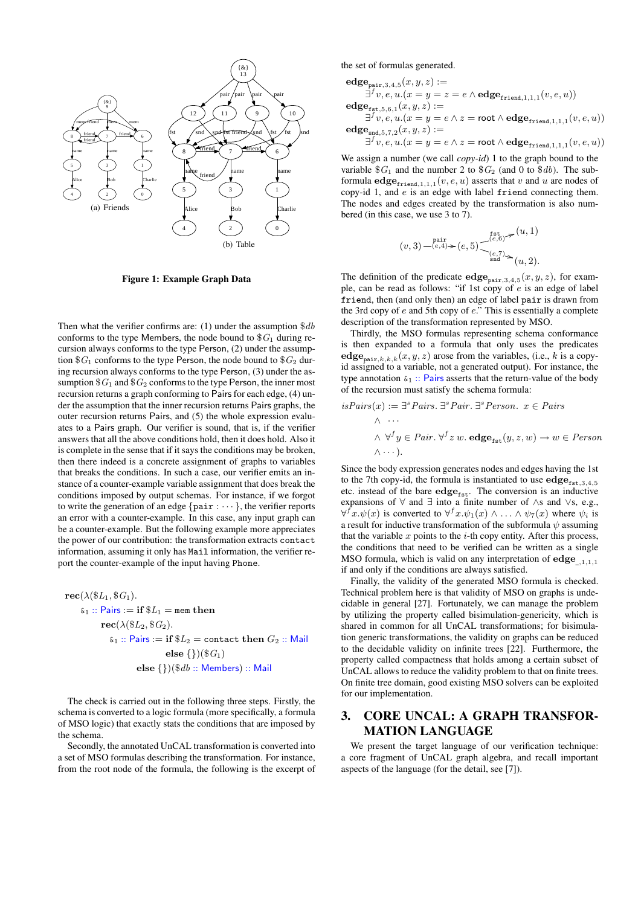

Figure 1: Example Graph Data

Then what the verifier confirms are: (1) under the assumption \$*db* conforms to the type Members, the node bound to \$*G*<sup>1</sup> during recursion always conforms to the type Person, (2) under the assumption  $$G_1$  conforms to the type Person, the node bound to  $$G_2$  during recursion always conforms to the type Person, (3) under the assumption  $G_1$  and  $G_2$  conforms to the type Person, the inner most recursion returns a graph conforming to Pairs for each edge, (4) under the assumption that the inner recursion returns Pairs graphs, the outer recursion returns Pairs, and (5) the whole expression evaluates to a Pairs graph. Our verifier is sound, that is, if the verifier answers that all the above conditions hold, then it does hold. Also it is complete in the sense that if it says the conditions may be broken, then there indeed is a concrete assignment of graphs to variables that breaks the conditions. In such a case, our verifier emits an instance of a counter-example variable assignment that does break the conditions imposed by output schemas. For instance, if we forgot to write the generation of an edge *{*pair : *· · · }*, the verifier reports an error with a counter-example. In this case, any input graph can be a counter-example. But the following example more appreciates the power of our contribution: the transformation extracts contact information, assuming it only has Mail information, the verifier report the counter-example of the input having Phone.

 $\text{rec}(\lambda(\$L_1, \$G_1).$  $\&S_1$  :: Pairs := if  $\$L_1$  = mem then  $\text{rec}(\lambda(\$L_2, \$G_2).$  $\&_1 ::$  Pairs := if  $$L_2 =$  contact then  $G_2 ::$  Mail **else** *{}*)(\$*G*1) **else** *{}*)(\$*db* :: Members) :: Mail

The check is carried out in the following three steps. Firstly, the schema is converted to a logic formula (more specifically, a formula of MSO logic) that exactly stats the conditions that are imposed by the schema.

Secondly, the annotated UnCAL transformation is converted into a set of MSO formulas describing the transformation. For instance, from the root node of the formula, the following is the excerpt of the set of formulas generated.

$$
\begin{array}{l} \mathbf{edge}_{\mathtt{pair},3,4,5}(x,y,z):=\newline\exists^{f}v,e,u.(x=y=z=e\land\mathbf{edge}_{\mathtt{friend},1,1,1}(v,e,u))\\ \mathbf{edge}_{\mathtt{fst},5,6,1}(x,y,z):=\newline\exists^{f}v,e,u.(x=y=e\land z=\mathbf{root}\land\mathbf{edge}_{\mathtt{friend},1,1,1}(v,e,u))\\ \mathbf{edge}_{\mathtt{end},5,7,2}(x,y,z):=\newline\exists^{f}v,e,u.(x=y=e\land z=\mathbf{root}\land\mathbf{edge}_{\mathtt{friend},1,1,1}(v,e,u))\\ \end{array}
$$

We assign a number (we call *copy-id*) 1 to the graph bound to the variable  $$G_1$  and the number 2 to  $$G_2$  (and 0 to  $$db$ ). The subformula  $\text{edge}_{\text{friend},1,1,1}(v, e, u)$  asserts that *v* and *u* are nodes of copy-id 1, and *e* is an edge with label friend connecting them. The nodes and edges created by the transformation is also numbered (in this case, we use 3 to 7).

$$
(v,3)\smash{\overset{\text{pair}}{\underset{(e,4)\succ}{\overset{\text{pair}}{\sum}}} (e,5)\smash{\underset{\underset{\text{end}}{\overset{\text{fst}}{\underset{\text{end}}{\sum}}} (u,1)}}
$$

The definition of the predicate  $\text{edge}_{\text{pair},3,4,5}(x, y, z)$ , for example, can be read as follows: "if 1st copy of *e* is an edge of label friend, then (and only then) an edge of label pair is drawn from the 3rd copy of *e* and 5th copy of *e*." This is essentially a complete description of the transformation represented by MSO.

Thirdly, the MSO formulas representing schema conformance is then expanded to a formula that only uses the predicates  $\mathbf{edge}_{\mathbf{pair},k,k,k}(x,y,z)$  arose from the variables, (i.e., *k* is a copyid assigned to a variable, not a generated output). For instance, the type annotation  $\kappa_1$  :: Pairs asserts that the return-value of the body of the recursion must satisfy the schema formula:

isPairs(x) := 
$$
\exists
$$
<sup>s</sup> Pairs.  $\exists$ <sup>s</sup> Person.  $x \in Pairs$   
\n $\land \cdots$   
\n $\land \forall$ <sup>f</sup>  $y \in Pair. \forall$ <sup>f</sup>  $z w. \text{edge}_{\text{fst}}(y, z, w) \rightarrow w \in Person$   
\n $\land \cdots$ ).

Since the body expression generates nodes and edges having the 1st to the 7th copy-id, the formula is instantiated to use  $\mathbf{edge}_{\mathtt{fst},3,4,5}$ etc. instead of the bare  $edge_{fst}$ . The conversion is an inductive expansions of *∀* and *∃* into a finite number of *∧*s and *∨*s, e.g., *∀*<sup>*f*</sup> *x.* $\psi$ (*x*) is converted to  $\forall$ <sup>*f*</sup> *x.* $\psi$ <sub>1</sub>(*x*) *∧ . . . ∧*  $\psi$ <sub>7</sub>(*x*) where  $\psi$ *i* is a result for inductive transformation of the subformula *ψ* assuming that the variable  $x$  points to the  $i$ -th copy entity. After this process, the conditions that need to be verified can be written as a single MSO formula, which is valid on any interpretation of **edge**\_*,*1*,*1*,*<sup>1</sup> if and only if the conditions are always satisfied.

Finally, the validity of the generated MSO formula is checked. Technical problem here is that validity of MSO on graphs is undecidable in general [27]. Fortunately, we can manage the problem by utilizing the property called bisimulation-genericity, which is shared in common for all UnCAL transformations; for bisimulation generic transformations, the validity on graphs can be reduced to the decidable validity on infinite trees [22]. Furthermore, the property called compactness that holds among a certain subset of UnCAL allows to reduce the validity problem to that on finite trees. On finite tree domain, good existing MSO solvers can be exploited for our implementation.

# 3. CORE UNCAL: A GRAPH TRANSFOR-MATION LANGUAGE

We present the target language of our verification technique: a core fragment of UnCAL graph algebra, and recall important aspects of the language (for the detail, see [7]).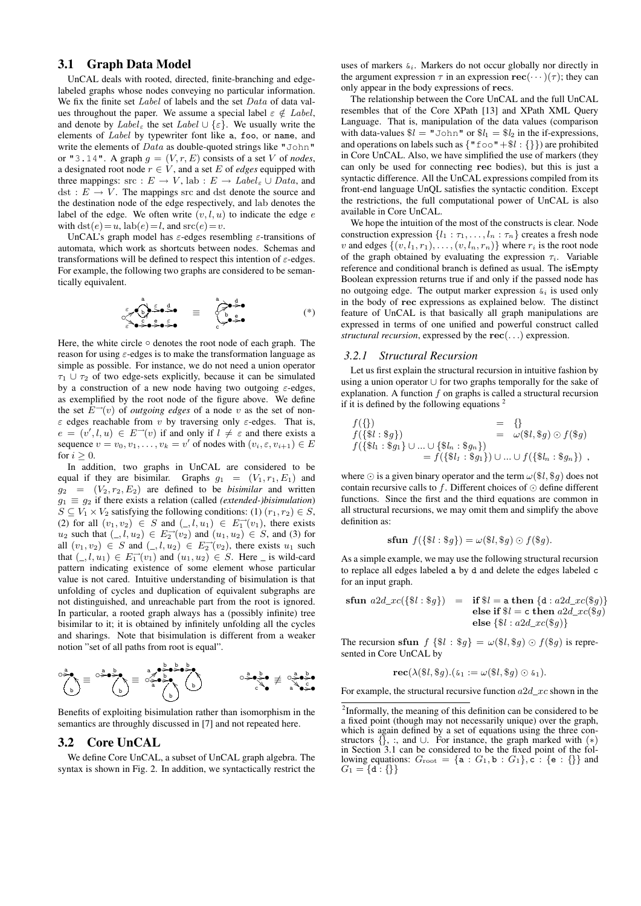# 3.1 Graph Data Model

UnCAL deals with rooted, directed, finite-branching and edgelabeled graphs whose nodes conveying no particular information. We fix the finite set *Label* of labels and the set *Data* of data values throughout the paper. We assume a special label  $\varepsilon \notin Label$ , and denote by  $Label_{\varepsilon}$  the set  $Label \cup {\varepsilon}$ . We usually write the elements of *Label* by typewriter font like a, foo, or name, and write the elements of *Data* as double-quoted strings like "John" or "3.14". A graph  $g = (V, r, E)$  consists of a set *V* of *nodes*, a designated root node  $r \in V$ , and a set *E* of *edges* equipped with three mappings:  $\text{src} : E \to V$ ,  $\text{lab} : E \to \text{Label}_{\varepsilon} \cup \text{Data}$ , and  $dst: E \rightarrow V$ . The mappings src and dst denote the source and the destination node of the edge respectively, and lab denotes the label of the edge. We often write  $(v, l, u)$  to indicate the edge  $e$ with  $\text{dst}(e) = u$ ,  $\text{lab}(e) = l$ , and  $\text{src}(e) = v$ .

UnCAL's graph model has *ε*-edges resembling *ε*-transitions of automata, which work as shortcuts between nodes. Schemas and transformations will be defined to respect this intention of *ε*-edges. For example, the following two graphs are considered to be semantically equivalent.

$$
\sum_{\substack{\epsilon\\ \epsilon\\ \epsilon\rightarrow s}}\sum_{\substack{\epsilon\\ \epsilon\\ \epsilon\\ \epsilon\rightarrow s}}\sum_{\substack{\epsilon\\ \epsilon\\ \epsilon\\ \epsilon}}^{a} \sum_{\substack{\epsilon\\ \epsilon\\ \epsilon\\ \epsilon}}^{a} \sum_{\substack{\epsilon\\ \epsilon\\ \epsilon\\ \epsilon}}^{a} \sum_{\substack{\epsilon\\ \epsilon\\ \epsilon\\ \epsilon}}^{a} \tag{*}
$$

Here, the white circle *◦* denotes the root node of each graph. The reason for using *ε*-edges is to make the transformation language as simple as possible. For instance, we do not need a union operator *τ*<sup>1</sup> *∪ τ*<sup>2</sup> of two edge-sets explicitly, because it can be simulated by a construction of a new node having two outgoing *ε*-edges, as exemplified by the root node of the figure above. We define the set  $E^{-1}(v)$  of *outgoing edges* of a node v as the set of non*ε* edges reachable from *v* by traversing only *ε*-edges. That is,  $e = (v', l, u) \in E \rightarrow (v)$  if and only if  $l \neq \varepsilon$  and there exists a sequence  $v = v_0, v_1, \ldots, v_k = v'$  of nodes with  $(v_i, \varepsilon, v_{i+1}) \in E$ for  $i \geq 0$ .

In addition, two graphs in UnCAL are considered to be equal if they are bisimilar. Graphs  $g_1 = (V_1, r_1, E_1)$  and  $q_2 = (V_2, r_2, E_2)$  are defined to be *bisimilar* and written  $g_1 \equiv g_2$  if there exists a relation (called *(extended-)bisimulation*)  $S \subseteq V_1 \times V_2$  satisfying the following conditions: (1)  $(r_1, r_2) \in S$ , (2) for all  $(v_1, v_2)$  ∈ *S* and  $($ *, l, u*<sub>1</sub> $)$  ∈  $E_1^{\rightarrow}(v_1)$ , there exists *u*<sub>2</sub> such that  $($  *∟*, *l*, *u*<sub>2</sub> $)$   $∈$   $E_2^{\to}(v_2)$  and  $(u_1, u_2)$   $∈$  *S*, and (3) for all  $(v_1, v_2) \in S$  and  $(0, l, u_2) \in E_2^{\rightarrow}(v_2)$ , there exists  $u_1$  such that  $(0, l, u_1) \in E_1^{\rightarrow}(v_1)$  and  $(u_1, u_2) \in S$ . Here \_ is wild-card pattern indicating existence of some element whose particular value is not cared. Intuitive understanding of bisimulation is that unfolding of cycles and duplication of equivalent subgraphs are not distinguished, and unreachable part from the root is ignored. In particular, a rooted graph always has a (possibly infinite) tree bisimilar to it; it is obtained by infinitely unfolding all the cycles and sharings. Note that bisimulation is different from a weaker notion "set of all paths from root is equal".

$$
\bigcirc^{\frac{a}{2}}_{b}\equiv \bigcirc^{\frac{a}{2}}\bigcirc^{\frac{b}{2}}_{\frac{a}{2}}\bigcirc^{\frac{b}{2}}_{\frac{a}{2}}\equiv \bigcirc^{\frac{b}{2}}\bigcirc^{\frac{b}{2}}_{\frac{a}{2}}\bigcirc^{\frac{b}{2}}_{\frac{b}{2}}\left(\begin{array}{c}a\\b\end{array}\right)
$$

Benefits of exploiting bisimulation rather than isomorphism in the semantics are throughly discussed in [7] and not repeated here.

#### 3.2 Core UnCAL

We define Core UnCAL, a subset of UnCAL graph algebra. The syntax is shown in Fig. 2. In addition, we syntactically restrict the

uses of markers &*i*. Markers do not occur globally nor directly in the argument expression  $\tau$  in an expression  $\mathbf{rec}(\cdots)(\tau)$ ; they can only appear in the body expressions of **rec**s.

The relationship between the Core UnCAL and the full UnCAL resembles that of the Core XPath [13] and XPath XML Query Language. That is, manipulation of the data values (comparison with data-values  $\$l = "\text{John}"$  or  $\$l_1 = \$l_2$  in the if-expressions, and operations on labels such as  $\{\ulcorner \text{foo} \urcorner + \$l : \{\}\}\$  are prohibited in Core UnCAL. Also, we have simplified the use of markers (they can only be used for connecting **rec** bodies), but this is just a syntactic difference. All the UnCAL expressions compiled from its front-end language UnQL satisfies the syntactic condition. Except the restrictions, the full computational power of UnCAL is also available in Core UnCAL.

We hope the intuition of the most of the constructs is clear. Node construction expression  $\{l_1 : \tau_1, \ldots, l_n : \tau_n\}$  creates a fresh node *v* and edges  $\{(v, l_1, r_1), \ldots, (v, l_n, r_n)\}$  where  $r_i$  is the root node of the graph obtained by evaluating the expression  $\tau_i$ . Variable reference and conditional branch is defined as usual. The isEmpty Boolean expression returns true if and only if the passed node has no outgoing edge. The output marker expression  $\epsilon_i$  is used only in the body of **rec** expressions as explained below. The distinct feature of UnCAL is that basically all graph manipulations are expressed in terms of one unified and powerful construct called *structural recursion*, expressed by the **rec**(*. . .*) expression.

#### *3.2.1 Structural Recursion*

Let us first explain the structural recursion in intuitive fashion by using a union operator *∪* for two graphs temporally for the sake of explanation. A function *f* on graphs is called a structural recursion if it is defined by the following equations  $2$ 

$$
f(\{\}) = \{\}f(\{\$l : \$g\}) = \omega(\$l, \$g) \odot f(\$g) f(\{\$l_1 : \$g_1\} \cup ... \cup \{\$l_n : \$g_n\}) = f(\{\$l_1 : \$g_1\}) \cup ... \cup f(\{\$l_n : \$g_n\}) ,
$$

where  $\odot$  is a given binary operator and the term  $\omega(\$l, \$g)$  does not contain recursive calls to *f*. Different choices of *⊙* define different functions. Since the first and the third equations are common in all structural recursions, we may omit them and simplify the above definition as:

$$
\mathbf{sfun} \ f(\{\$l : \$g\}) = \omega(\$l, \$g) \odot f(\$g).
$$

As a simple example, we may use the following structural recursion to replace all edges labeled a by d and delete the edges labeled c for an input graph.

$$
\begin{array}{rcl}\n\textbf{sfun} & a2d\_xc(\{\$l : \$g\}) & = & \textbf{if } \$l = \textbf{a} \textbf{ then } \{\texttt{d} : a2d\_xc(\$g)\} \\
& \textbf{else if } \$l = \textbf{c} \textbf{ then } a2d\_xc(\$g) \\
& \textbf{else } \{\$l : a2d\_xc(\$g)\}\n\end{array}
$$

The recursion **sfun**  $f \{\$l : \$g\} = \omega(\$l, \$g) \odot f(\$g)$  is represented in Core UnCAL by

$$
\mathbf{rec}(\lambda(\$l,\$g).(\&1:=\omega(\$l,\$g)\odot\&1).
$$

For example, the structural recursive function *a*2*d*\_*xc* shown in the

<sup>&</sup>lt;sup>2</sup>Informally, the meaning of this definition can be considered to be a fixed point (though may not necessarily unique) over the graph, which is again defined by a set of equations using the three constructors *{}*, :, and *∪*. For instance, the graph marked with (*∗*) in Section 3.1 can be considered to be the fixed point of the following equations:  $G_{\text{root}} = {\mathbf{a} : G_1, \mathbf{b} : G_1}, \mathbf{c} : {\mathbf{e} : \{\}}$  and  $G_1 = \{d : \{\}\}\$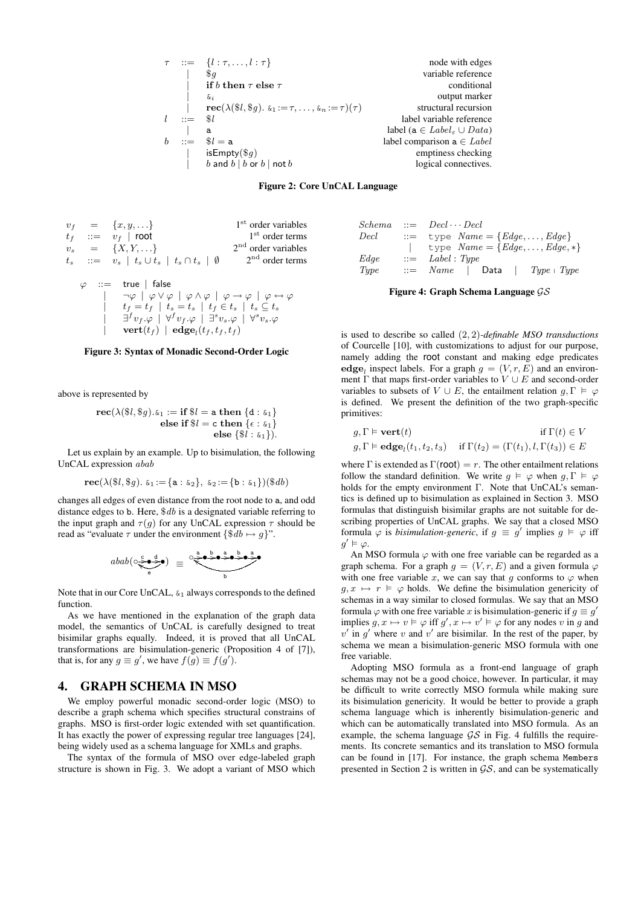$\ldots = \{l : \tau, \ldots, l : \tau\}$  node with edges *|* \$*g* variable reference  $\overrightarrow{if}$  *b* **then**  $\tau$  **else**  $\tau$  conditional *|* &*<sup>i</sup>* output marker  $\begin{array}{lll}\n\text{rec}(\lambda(\$l, \$g)). & \text{sn} := \tau, \ldots, \text{sn} := \tau)(\tau) & \text{structural recursion} \\
\text{label variable reference} \end{array}$ *l* ::= \$*l* label variable reference *|* a label (a *∈ Label <sup>ε</sup> ∪ Data*) *b* ::=  $$l = a$ <br> **c** is Empty(\$q) is interesting a  $\in$  *Label*<br> **comparison a**  $\in$  *Label*<br> **comparison a**  $\in$  *Label*  $e$  imptiness checking<br>logical connectives.  $\boldsymbol{b}$  and  $\boldsymbol{b}$  |  $\boldsymbol{b}$  or  $\boldsymbol{b}$  | not  $\boldsymbol{b}$ 

Figure 2: Core UnCAL Language

$$
v_f = \{x, y, \ldots\}
$$
  
\n
$$
t_f := v_f \mid \text{root}
$$
  
\n
$$
v_s = \{X, Y, \ldots\}
$$
  
\n
$$
t_s ::= v_s \mid t_s \cup t_s \mid t_s \cap t_s \mid \emptyset
$$
  
\n
$$
\varphi ::= \text{true} \mid \text{false}
$$
  
\n
$$
\varphi \mid \varphi \lor \varphi \mid \varphi \land \varphi \mid \varphi \rightarrow \varphi \mid \varphi \leftrightarrow \varphi
$$

$$
\begin{array}{c}\n\begin{array}{c}\n\neg \varphi \mid \varphi \lor \varphi \mid \varphi \land \varphi \mid \varphi \rightarrow \varphi \mid \varphi \leftrightarrow \\
t_f = t_f \mid t_s = t_s \mid t_f \in t_s \mid t_s \subseteq t_s \\
\exists^f v_f \cdot \varphi \mid \forall^f v_f \cdot \varphi \mid \exists^s v_s \cdot \varphi \mid \forall^s v_s \cdot \varphi \\
\text{vert}(t_f) \mid \textbf{edge}_t(t_f, t_f, t_f)\n\end{array}\n\end{array}
$$

#### Figure 3: Syntax of Monadic Second-Order Logic

above is represented by

 $rec(\lambda(\text{$\frac{6}{6}l, \text{$\frac{6}{3}g$}) \cdot \text{$\frac{6}{6}1$} := \text{if } \text{$\frac{6}{6}l = \text{a} \text{ then } \text{$\frac{6}{6}l \cdot \text{$\frac{6}{6}1$}$ **else if**  $l = c$  **then**  ${c : \&_1}$ **else** *{*\$*l* : &1*}*).

Let us explain by an example. Up to bisimulation, the following UnCAL expression *abab*

$$
\mathbf{rec}(\lambda(\$l, \$g). \ \mathbf{\& }_1 := \{ \mathtt{a} : \mathbf{\& }_2 \}, \ \mathbf{\& }_2 := \{ \mathtt{b} : \mathbf{\& }_1 \})(\$db)
$$

changes all edges of even distance from the root node to a, and odd distance edges to b. Here, \$*db* is a designated variable referring to the input graph and  $\tau(g)$  for any UnCAL expression  $\tau$  should be read as "evaluate  $\tau$  under the environment  $\{\$db \mapsto q\}$ ".

$$
abab\big(\circ \underbrace{\stackrel{\mathsf{c}}{\diamond} \bullet \stackrel{\mathsf{d}}{\diamond}}_{\mathsf{e}}\big)\quad \equiv\quad \circ \underbrace{\stackrel{\mathsf{a}}{\diamond} \bullet \stackrel{\mathsf{b}}{\diamond} \bullet \stackrel{\mathsf{a}}{\diamond} \bullet \stackrel{\mathsf{b}}{\diamond} \bullet \stackrel{\mathsf{a}}{\diamond}}
$$

Note that in our Core UnCAL,  $\&i_1$  always corresponds to the defined function.

As we have mentioned in the explanation of the graph data model, the semantics of UnCAL is carefully designed to treat bisimilar graphs equally. Indeed, it is proved that all UnCAL transformations are bisimulation-generic (Proposition 4 of [7]), that is, for any  $g \equiv g'$ , we have  $f(g) \equiv f(g')$ .

#### 4. GRAPH SCHEMA IN MSO

We employ powerful monadic second-order logic (MSO) to describe a graph schema which specifies structural constrains of graphs. MSO is first-order logic extended with set quantification. It has exactly the power of expressing regular tree languages [24], being widely used as a schema language for XMLs and graphs.

The syntax of the formula of MSO over edge-labeled graph structure is shown in Fig. 3. We adopt a variant of MSO which

| $\it Schema$ | $ ::= \quad Decl \cdots Decl$                               |
|--------------|-------------------------------------------------------------|
| Decl         | $\mathcal{L} := \text{type } Name = \{Edge, \ldots, Edge\}$ |
|              | type $Name = \{Edge, \ldots, Edge, *\}$                     |
| Edge         | $\therefore$ Label : Type                                   |
| Type         | $ ::=$ $Name$   Data<br>$Type \perp Type$                   |

Figure 4: Graph Schema Language *GS*

is used to describe so called (2*,* 2)*-definable MSO transductions* of Courcelle [10], with customizations to adjust for our purpose, namely adding the root constant and making edge predicates edge<sub>*l*</sub> inspect labels. For a graph  $g = (V, r, E)$  and an environment  $\Gamma$  that maps first-order variables to  $V \cup E$  and second-order variables to subsets of  $V \cup E$ , the entailment relation  $g, \Gamma \models \varphi$ is defined. We present the definition of the two graph-specific primitives:

| $g, \Gamma \models \mathbf{vert}(t)$ | if $\Gamma(t) \in V$                                                                                      |
|--------------------------------------|-----------------------------------------------------------------------------------------------------------|
|                                      | $g, \Gamma \models \mathbf{edge}_l(t_1, t_2, t_3)$ if $\Gamma(t_2) = (\Gamma(t_1), l, \Gamma(t_3)) \in E$ |

where  $\Gamma$  is extended as  $\Gamma$ (**root**) = *r*. The other entailment relations follow the standard definition. We write  $g \models \varphi$  when  $g, \Gamma \models \varphi$ holds for the empty environment Γ. Note that UnCAL's semantics is defined up to bisimulation as explained in Section 3. MSO formulas that distinguish bisimilar graphs are not suitable for describing properties of UnCAL graphs. We say that a closed MSO formula  $\varphi$  is *bisimulation-generic*, if  $g \equiv g'$  implies  $g \models \varphi$  iff  $g' \vDash \varphi$ .

An MSO formula  $\varphi$  with one free variable can be regarded as a graph schema. For a graph  $g = (V, r, E)$  and a given formula  $\varphi$ with one free variable *x*, we can say that *g* conforms to  $\varphi$  when  $g, x \mapsto r \vDash \varphi$  holds. We define the bisimulation genericity of schemas in a way similar to closed formulas. We say that an MSO formula  $\varphi$  with one free variable *x* is bisimulation-generic if  $g \equiv g'$ implies  $g, x \mapsto v \models \varphi$  iff  $g', x \mapsto v' \models \varphi$  for any nodes *v* in *g* and  $v'$  in  $g'$  where  $v$  and  $v'$  are bisimilar. In the rest of the paper, by schema we mean a bisimulation-generic MSO formula with one free variable.

Adopting MSO formula as a front-end language of graph schemas may not be a good choice, however. In particular, it may be difficult to write correctly MSO formula while making sure its bisimulation genericity. It would be better to provide a graph schema language which is inherently bisimulation-generic and which can be automatically translated into MSO formula. As an example, the schema language *GS* in Fig. 4 fulfills the requirements. Its concrete semantics and its translation to MSO formula can be found in [17]. For instance, the graph schema Members presented in Section 2 is written in *GS*, and can be systematically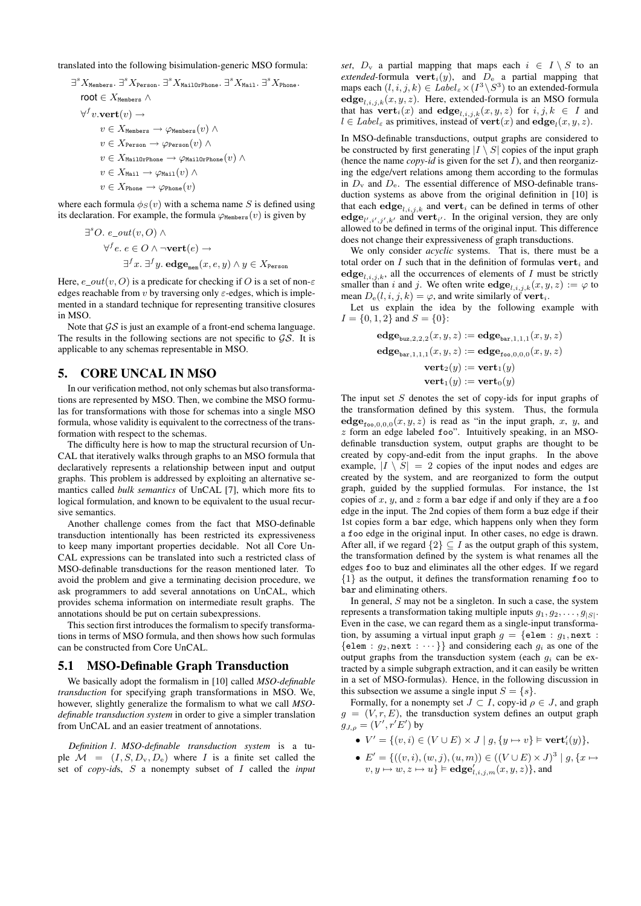translated into the following bisimulation-generic MSO formula:

$$
\exists^{s} X_{\text{Members}}.\exists^{s} X_{\text{Person}}.\exists^{s} X_{\text{MailOrPhone}}.\exists^{s} X_{\text{Mail}}.\exists^{s} X_{\text{Phone}}.
$$
\n
$$
\text{root} \in X_{\text{Members}} \land
$$
\n
$$
\forall^{f} v.\text{vert}(v) \rightarrow
$$
\n
$$
v \in X_{\text{Members}} \rightarrow \varphi_{\text{Members}}(v) \land
$$
\n
$$
v \in X_{\text{Person}} \rightarrow \varphi_{\text{Person}}(v) \land
$$
\n
$$
v \in X_{\text{MailOrPhone}} \rightarrow \varphi_{\text{MailOrPhone}}(v) \land
$$
\n
$$
v \in X_{\text{Mail}} \rightarrow \varphi_{\text{Mail}}(v) \land
$$
\n
$$
v \in X_{\text{Phone}} \rightarrow \varphi_{\text{Phone}}(v)
$$

where each formula  $\phi_S(v)$  with a schema name *S* is defined using its declaration. For example, the formula  $\varphi_{\text{Members}}(v)$  is given by

$$
\begin{aligned} \exists^s O. \ e\_out(v, O) \land \\ \forall^f e. \ e \in O \land \neg \mathbf{vert}(e) \rightarrow \\ \exists^f x. \ \exists^f y. \ \mathbf{edge}_{\mathtt{mem}}(x, e, y) \land y \in X_{\mathtt{Person}} \end{aligned}
$$

Here,  $e\_out(v, O)$  is a predicate for checking if *O* is a set of non- $\varepsilon$ edges reachable from *v* by traversing only *ε*-edges, which is implemented in a standard technique for representing transitive closures in MSO.

Note that *GS* is just an example of a front-end schema language. The results in the following sections are not specific to *GS*. It is applicable to any schemas representable in MSO.

# 5. CORE UNCAL IN MSO

In our verification method, not only schemas but also transformations are represented by MSO. Then, we combine the MSO formulas for transformations with those for schemas into a single MSO formula, whose validity is equivalent to the correctness of the transformation with respect to the schemas.

The difficulty here is how to map the structural recursion of Un-CAL that iteratively walks through graphs to an MSO formula that declaratively represents a relationship between input and output graphs. This problem is addressed by exploiting an alternative semantics called *bulk semantics* of UnCAL [7], which more fits to logical formulation, and known to be equivalent to the usual recursive semantics.

Another challenge comes from the fact that MSO-definable transduction intentionally has been restricted its expressiveness to keep many important properties decidable. Not all Core Un-CAL expressions can be translated into such a restricted class of MSO-definable transductions for the reason mentioned later. To avoid the problem and give a terminating decision procedure, we ask programmers to add several annotations on UnCAL, which provides schema information on intermediate result graphs. The annotations should be put on certain subexpressions.

This section first introduces the formalism to specify transformations in terms of MSO formula, and then shows how such formulas can be constructed from Core UnCAL.

#### 5.1 MSO-Definable Graph Transduction

We basically adopt the formalism in [10] called *MSO-definable transduction* for specifying graph transformations in MSO. We, however, slightly generalize the formalism to what we call *MSOdefinable transduction system* in order to give a simpler translation from UnCAL and an easier treatment of annotations.

*Definition 1. MSO-definable transduction system* is a tuple  $M = (I, S, D_v, D_e)$  where *I* is a finite set called the set of *copy-id*s, *S* a nonempty subset of *I* called the *input* *set*,  $D_v$  a partial mapping that maps each  $i \in I \setminus S$  to an *extended*-formula **vert**<sub>*i*</sub>(y), and  $D_e$  a partial mapping that maps each  $(l, i, j, k) \in Label_{\varepsilon} \times (I^3 \setminus S^3)$  to an extended-formula  $\textbf{edge}_{l,i,j,k}(x, y, z)$ . Here, extended-formula is an MSO formula that has  $\textbf{vert}_i(x)$  and  $\textbf{edge}_{i,i,j,k}(x,y,z)$  for  $i,j,k \in I$  and  $l \in Label_{\varepsilon}$  as primitives, instead of **vert** $(x)$  and  $\textbf{edge}_{l}(x, y, z)$ .

In MSO-definable transductions, output graphs are considered to be constructed by first generating  $|I \setminus S|$  copies of the input graph (hence the name *copy-id* is given for the set  $I$ ), and then reorganizing the edge/vert relations among them according to the formulas in  $D_v$  and  $D_e$ . The essential difference of MSO-definable transduction systems as above from the original definition in [10] is that each  $\textbf{edge}_{i,i,j,k}$  and  $\textbf{vert}_i$  can be defined in terms of other  $\textbf{edge}_{l',i',j',k'}$  and  $\textbf{vert}_{i'}$ . In the original version, they are only allowed to be defined in terms of the original input. This difference does not change their expressiveness of graph transductions.

We only consider *acyclic* systems. That is, there must be a total order on  $I$  such that in the definition of formulas  $\textbf{vert}_i$  and  $\textbf{edge}_{l,i,j,k}$ , all the occurrences of elements of *I* must be strictly smaller than *i* and *j*. We often write  $\textbf{edge}_{i,i,j,k}(x, y, z) := \varphi$  to mean  $D_e(l, i, j, k) = \varphi$ , and write similarly of **vert**<sub>*i*</sub>.

Let us explain the idea by the following example with  $I = \{0, 1, 2\}$  and  $S = \{0\}$ :

$$
\begin{aligned} \mathbf{edge}_{\mathsf{buz},2,2,2}(x,y,z) := \mathbf{edge}_{\mathsf{bar},1,1,1}(x,y,z) \\ \mathbf{edge}_{\mathsf{bar},1,1,1}(x,y,z) := \mathbf{edge}_{\mathsf{foo},0,0,0}(x,y,z) \\ \mathbf{vert}_2(y) := \mathbf{vert}_1(y) \\ \mathbf{vert}_1(y) := \mathbf{vert}_0(y) \end{aligned}
$$

The input set *S* denotes the set of copy-ids for input graphs of the transformation defined by this system. Thus, the formula  $\text{edge}_{f \circ o, 0, 0, 0}(x, y, z)$  is read as "in the input graph, x, y, and *z* form an edge labeled foo". Intuitively speaking, in an MSOdefinable transduction system, output graphs are thought to be created by copy-and-edit from the input graphs. In the above example,  $|I \setminus S| = 2$  copies of the input nodes and edges are created by the system, and are reorganized to form the output graph, guided by the supplied formulas. For instance, the 1st copies of *x*, *y*, and *z* form a bar edge if and only if they are a foo edge in the input. The 2nd copies of them form a buz edge if their 1st copies form a bar edge, which happens only when they form a foo edge in the original input. In other cases, no edge is drawn. After all, if we regard  $\{2\} \subseteq I$  as the output graph of this system, the transformation defined by the system is what renames all the edges foo to buz and eliminates all the other edges. If we regard *{*1*}* as the output, it defines the transformation renaming foo to bar and eliminating others.

In general, *S* may not be a singleton. In such a case, the system represents a transformation taking multiple inputs  $g_1, g_2, \ldots, g_{|S|}$ . Even in the case, we can regard them as a single-input transformation, by assuming a virtual input graph  $g = \{ \text{elem} : g_1, \text{next} :$  ${$ [elem :  $g_2$ , next : · · · }} and considering each  $g_i$  as one of the output graphs from the transduction system (each  $g_i$  can be extracted by a simple subgraph extraction, and it can easily be written in a set of MSO-formulas). Hence, in the following discussion in this subsection we assume a single input  $S = \{s\}.$ 

Formally, for a nonempty set  $J \subset I$ , copy-id  $\rho \in J$ , and graph  $g = (V, r, E)$ , the transduction system defines an output graph  $g_{J,\rho}=(V',r'E')$  by

- *•*  $V' = \{(v, i) \in (V \cup E) \times J \mid g, \{y \mapsto v\} \models \textbf{vert}'_i(y)\},$
- $\bullet$  *E'* = {((*v, i*)*,* (*w, j*)*,* (*u, m*))  $\in$  ((*V* ∪ *E*)  $\times$  *J*)<sup>3</sup> | *g,* {*x*  $\mapsto$  $v, y \mapsto w, z \mapsto u\} \models \mathbf{edge}_{l,i,j,m}(x, y, z)\},$  and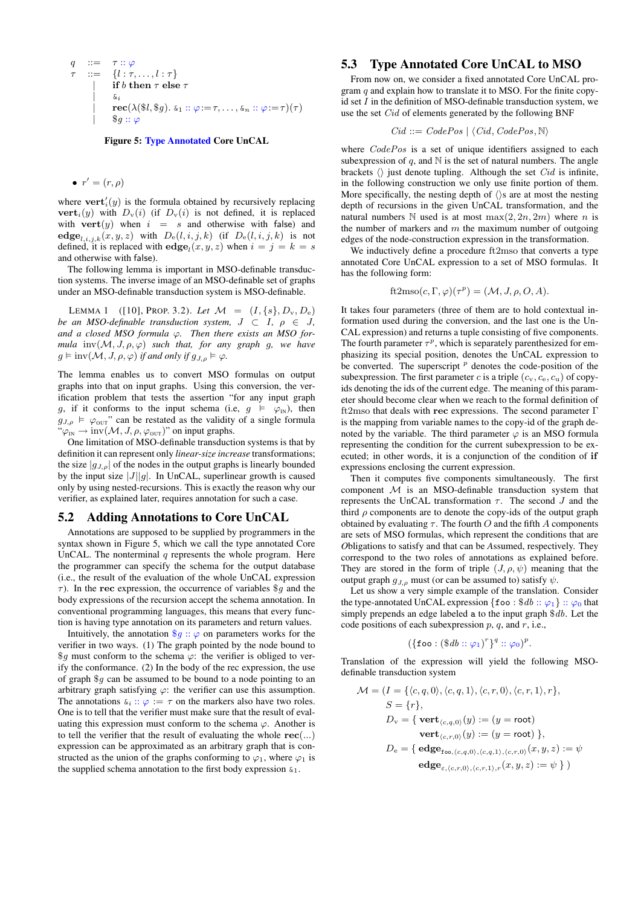$$
q :: = \tau :: \varphi
$$
  
\n
$$
\tau :: = \{l : \tau, ..., l : \tau\}
$$
  
\n
$$
\begin{array}{c}\n\text{if } b \text{ then } \tau \text{ else } \tau \\
\downarrow \quad \text{for} \\
\text{rec}(\lambda(\$l, \$g). \ \& 1 :: \varphi := \tau, ..., \& n :: \varphi := \tau)(\tau) \\
\qquad \quad \$g :: \varphi\n\end{array}
$$

Figure 5: Type Annotated Core UnCAL

#### $\bullet$   $r' = (r, \rho)$

where  $\textbf{vert}'_i(y)$  is the formula obtained by recursively replacing **vert**<sub>*i*</sub>(*y*) with  $D_v(i)$  (if  $D_v(i)$  is not defined, it is replaced with  $\textbf{vert}(y)$  when  $i = s$  and otherwise with false) and  $\mathbf{edge}_{l,i,j,k}(x,y,z)$  with  $D_e(l,i,j,k)$  (if  $D_e(l,i,j,k)$  is not defined, it is replaced with  $\text{edge}_i(x, y, z)$  when  $i = j = k = s$ and otherwise with false).

The following lemma is important in MSO-definable transduction systems. The inverse image of an MSO-definable set of graphs under an MSO-definable transduction system is MSO-definable.

LEMMA 1 ([10], PROP. 3.2). Let  $M = (I, \{s\}, D_v, D_e)$ *be an MSO-definable transduction system,*  $J \subset I$ ,  $\rho \in J$ , *and a closed MSO formula ϕ. Then there exists an MSO formula*  $inv(M, J, \rho, \varphi)$  *such that, for any graph g, we have*  $g \models inv(\mathcal{M}, J, \rho, \varphi)$  *if and only if*  $g_{J, \rho} \models \varphi$ *.* 

The lemma enables us to convert MSO formulas on output graphs into that on input graphs. Using this conversion, the verification problem that tests the assertion "for any input graph *g*, if it conforms to the input schema (i.e,  $g \models \varphi_{\text{IN}}$ ), then  $g_{J,\rho} \models \varphi_{\text{OUT}}$ " can be restated as the validity of a single formula  $"\varphi_{\text{IN}} \rightarrow \text{inv}(\mathcal{M}, J, \rho, \varphi_{\text{OUT}})$ " on input graphs.

One limitation of MSO-definable transduction systems is that by definition it can represent only *linear-size increase* transformations; the size  $|g_{J,\rho}|$  of the nodes in the output graphs is linearly bounded by the input size  $|J||g|$ . In UnCAL, superlinear growth is caused only by using nested-recursions. This is exactly the reason why our verifier, as explained later, requires annotation for such a case.

# 5.2 Adding Annotations to Core UnCAL

Annotations are supposed to be supplied by programmers in the syntax shown in Figure 5, which we call the type annotated Core UnCAL. The nonterminal *q* represents the whole program. Here the programmer can specify the schema for the output database (i.e., the result of the evaluation of the whole UnCAL expression *τ* ). In the **rec** expression, the occurrence of variables \$*g* and the body expressions of the recursion accept the schema annotation. In conventional programming languages, this means that every function is having type annotation on its parameters and return values.

Intuitively, the annotation  $\mathcal{G}g$  ::  $\varphi$  on parameters works for the verifier in two ways. (1) The graph pointed by the node bound to \$*g* must conform to the schema *ϕ*: the verifier is obliged to verify the conformance. (2) In the body of the rec expression, the use of graph \$*g* can be assumed to be bound to a node pointing to an arbitrary graph satisfying  $\varphi$ : the verifier can use this assumption. The annotations  $\delta_i$  ::  $\varphi := \tau$  on the markers also have two roles. One is to tell that the verifier must make sure that the result of evaluating this expression must conform to the schema  $\varphi$ . Another is to tell the verifier that the result of evaluating the whole **rec**(*...*) expression can be approximated as an arbitrary graph that is constructed as the union of the graphs conforming to  $\varphi_1$ , where  $\varphi_1$  is the supplied schema annotation to the first body expression  $\kappa_1$ .

# 5.3 Type Annotated Core UnCAL to MSO

From now on, we consider a fixed annotated Core UnCAL program *q* and explain how to translate it to MSO. For the finite copyid set *I* in the definition of MSO-definable transduction system, we use the set *Cid* of elements generated by the following BNF

$$
Cid ::= CodePos \mid \langle Cid, CodePos, \mathbb{N} \rangle
$$

where *CodePos* is a set of unique identifiers assigned to each subexpression of  $q$ , and  $\mathbb N$  is the set of natural numbers. The angle brackets  $\langle \rangle$  just denote tupling. Although the set *Cid* is infinite, in the following construction we only use finite portion of them. More specifically, the nesting depth of *〈〉*s are at most the nesting depth of recursions in the given UnCAL transformation, and the natural numbers  $\mathbb N$  used is at most  $\max(2, 2n, 2m)$  where *n* is the number of markers and *m* the maximum number of outgoing edges of the node-construction expression in the transformation.

We inductively define a procedure ft2mso that converts a type annotated Core UnCAL expression to a set of MSO formulas. It has the following form:

$$
ft2mso(c, \Gamma, \varphi)(\tau^p) = (\mathcal{M}, J, \rho, O, A).
$$

It takes four parameters (three of them are to hold contextual information used during the conversion, and the last one is the Un-CAL expression) and returns a tuple consisting of five components. The fourth parameter  $\tau^p$ , which is separately parenthesized for emphasizing its special position, denotes the UnCAL expression to be converted. The superscript  $p$  denotes the code-position of the subexpression. The first parameter *c* is a triple  $(c_v, c_e, c_u)$  of copyids denoting the ids of the current edge. The meaning of this parameter should become clear when we reach to the formal definition of ft2mso that deals with **rec** expressions. The second parameter Γ is the mapping from variable names to the copy-id of the graph denoted by the variable. The third parameter  $\varphi$  is an MSO formula representing the condition for the current subexpression to be executed; in other words, it is a conjunction of the condition of **if** expressions enclosing the current expression.

Then it computes five components simultaneously. The first component *M* is an MSO-definable transduction system that represents the UnCAL transformation  $\tau$ . The second  $J$  and the third  $\rho$  components are to denote the copy-ids of the output graph obtained by evaluating  $\tau$ . The fourth *O* and the fifth *A* components are sets of MSO formulas, which represent the conditions that are *O*bligations to satisfy and that can be *A*ssumed, respectively. They correspond to the two roles of annotations as explained before. They are stored in the form of triple  $(J, \rho, \psi)$  meaning that the output graph  $g_{J,\rho}$  must (or can be assumed to) satisfy  $\psi$ .

Let us show a very simple example of the translation. Consider the type-annotated UnCAL expression  $\{f \circ \phi : \$ db : \phi_1\} :: \phi_0$  that simply prepends an edge labeled a to the input graph \$*db*. Let the code positions of each subexpression *p*, *q*, and *r*, i.e.,

$$
(\{\mathtt{foo} : (\$db :: \varphi_1)^r\}^q :: \varphi_0)^p.
$$

Translation of the expression will yield the following MSOdefinable transduction system

$$
\mathcal{M} = (I = \{\langle c, q, 0 \rangle, \langle c, q, 1 \rangle, \langle c, r, 0 \rangle, \langle c, r, 1 \rangle, r\},
$$
\n
$$
S = \{r\},
$$
\n
$$
D_{\mathbf{v}} = \{\ \textbf{vert}_{\langle c, q, 0 \rangle}(y) := (y = \text{root})
$$
\n
$$
\textbf{vert}_{\langle c, r, 0 \rangle}(y) := (y = \text{root}) \ \},
$$
\n
$$
D_{\mathbf{e}} = \{\ \textbf{edge}_{\textbf{foo}, \langle c, q, 0 \rangle, \langle c, q, 1 \rangle, \langle c, r, 0 \rangle}(x, y, z) := \psi \ \}
$$
\n
$$
\textbf{edge}_{\varepsilon, \langle c, r, 0 \rangle, \langle c, r, 1 \rangle, r}(x, y, z) := \psi \ \} )
$$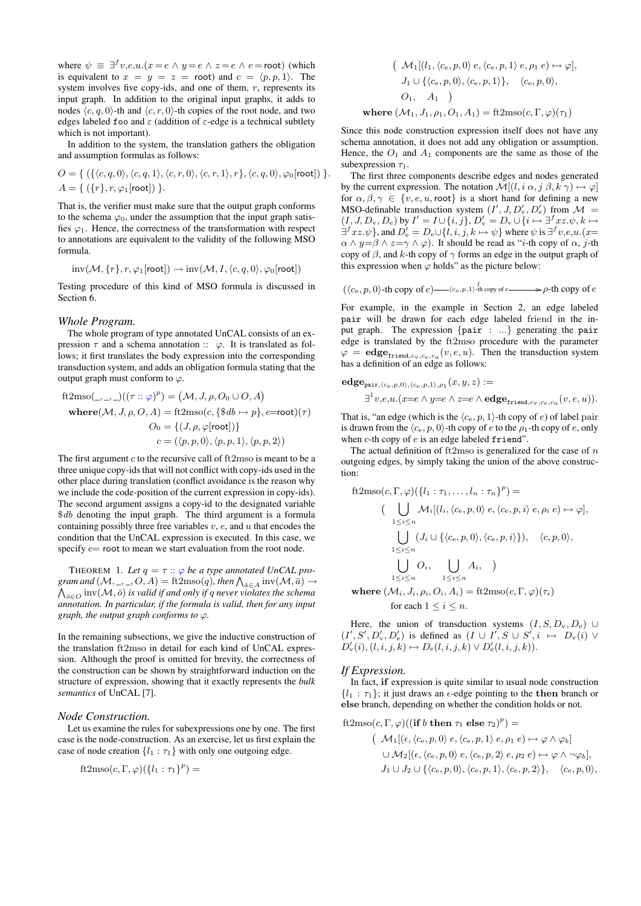where  $\psi \equiv \exists^{f} v, e, u.(x = e \land y = e \land z = e \land e = \text{root})$  (which is equivalent to  $x = y = z = \text{root}$  and  $c = \langle p, p, 1 \rangle$ . The system involves five copy-ids, and one of them, *r*, represents its input graph. In addition to the original input graphs, it adds to nodes  $\langle c, q, 0 \rangle$ -th and  $\langle c, r, 0 \rangle$ -th copies of the root node, and two edges labeled foo and *ε* (addition of *ε*-edge is a technical subtlety which is not important).

In addition to the system, the translation gathers the obligation and assumption formulas as follows:

$$
O = \{ (\{\langle c, q, 0 \rangle, \langle c, q, 1 \rangle, \langle c, r, 0 \rangle, \langle c, r, 1 \rangle, r \}, \langle c, q, 0 \rangle, \varphi_0[\text{root}]) \}.
$$
  

$$
A = \{ (\{r\}, r, \varphi_1[\text{root}]) \}.
$$

That is, the verifier must make sure that the output graph conforms to the schema  $\varphi_0$ , under the assumption that the input graph satisfies  $\varphi_1$ . Hence, the correctness of the transformation with respect to annotations are equivalent to the validity of the following MSO formula.

$$
inv(\mathcal{M}, \{r\}, r, \varphi_1[\text{root}]) \to inv(\mathcal{M}, I, \langle c, q, 0 \rangle, \varphi_0[\text{root}])
$$

Testing procedure of this kind of MSO formula is discussed in Section 6.

#### *Whole Program.*

The whole program of type annotated UnCAL consists of an expression  $\tau$  and a schema annotation ::  $\varphi$ . It is translated as follows; it first translates the body expression into the corresponding transduction system, and adds an obligation formula stating that the output graph must conform to  $\varphi$ .

ft2mso(\_,\_,\\_)((
$$
\tau
$$
 ::  $\varphi$ )<sup>*p*</sup>) = ( $\mathcal{M}$ ,  $J$ ,  $\rho$ ,  $O$ <sub>0</sub>  $\cup$   $O$ ,  $A$ )  
\nwhere( $\mathcal{M}$ ,  $J$ ,  $\rho$ ,  $O$ ,  $A$ ) = ft2mso( $c$ , { $\$db \mapsto p$ },  $e$ =root)( $\tau$ )  
\n
$$
O_0 = \{(J, \rho, \varphi[\text{root}])\}
$$
\n
$$
c = (\langle p, p, 0 \rangle, \langle p, p, 1 \rangle, \langle p, p, 2 \rangle)
$$

The first argument *c* to the recursive call of ft2mso is meant to be a three unique copy-ids that will not conflict with copy-ids used in the other place during translation (conflict avoidance is the reason why we include the code-position of the current expression in copy-ids). The second argument assigns a copy-id to the designated variable \$*db* denoting the input graph. The third argument is a formula containing possibly three free variables *v*, *e*, and *u* that encodes the condition that the UnCAL expression is executed. In this case, we specify *e*= root to mean we start evaluation from the root node.

THEOREM 1. Let  $q = \tau :: \varphi$  be a type annotated UnCAL pro*gram and*  $(M, \_, \_, \_, O, A) = \text{ft2mso}(q)$ *, then*  $\bigwedge_{\bar{a} \in A} \text{inv}(M, \bar{a}) \to$ <br>A inv( $M, \bar{a}$ ) is valid if and only if a never violates the schema  $\bigwedge_{\overline{o} \in O} \text{inv}(\mathcal{M}, \overline{o})$  *is valid if and only if q never violates the schema annotation. In particular, if the formula is valid, then for any input graph, the output graph conforms to ϕ.*

In the remaining subsections, we give the inductive construction of the translation ft2mso in detail for each kind of UnCAL expression. Although the proof is omitted for brevity, the correctness of the construction can be shown by straightforward induction on the structure of expression, showing that it exactly represents the *bulk semantics* of UnCAL [7].

#### *Node Construction.*

Let us examine the rules for subexpressions one by one. The first case is the node-construction. As an exercise, let us first explain the case of node creation  $\{l_1 : \tau_1\}$  with only one outgoing edge.

$$
ft2mso(c, \Gamma, \varphi)(\{l_1 : \tau_1\}^p) =
$$

$$
(\mathcal{M}_1[(l_1, \langle c_e, p, 0 \rangle e, \langle c_e, p, 1 \rangle e, \rho_1 e) \mapsto \varphi],
$$
  
\n
$$
J_1 \cup \{\langle c_e, p, 0 \rangle, \langle c_e, p, 1 \rangle\}, \quad \langle c_e, p, 0 \rangle,
$$
  
\n
$$
O_1, A_1)
$$
  
\nwhere  $(\mathcal{M}_1, J_1, \rho_1, O_1, A_1) = \text{ft2mso}(c, \Gamma, \varphi)(\tau_1)$ 

Since this node construction expression itself does not have any schema annotation, it does not add any obligation or assumption. Hence, the  $O_1$  and  $A_1$  components are the same as those of the subexpression  $\tau_1$ .

The first three components describe edges and nodes generated by the current expression. The notation  $\mathcal{M}[(l, i \alpha, j \beta, k \gamma) \mapsto \varphi]$ for  $\alpha, \beta, \gamma \in \{v, e, u, \text{root}\}\$ is a short hand for defining a new MSO-definable transduction system  $(I', J, D'_{v}, D'_{e})$  from  $\mathcal{M} =$  $(I, J, D_v, D_e)$  by  $I' = I \cup \{i, j\}, D'_v = D_v \cup \{i \mapsto \exists^f xz. \psi, k \mapsto$  $\exists^{f} xz.\psi$ }, and  $D'_{e} = D_{e} \cup \{l, i, j, k \mapsto \psi\}$  where  $\psi$  is  $\exists^{f} v.e.u.(x=$  $\alpha \wedge y = \beta \wedge z = \gamma \wedge \varphi$ . It should be read as "*i*-th copy of  $\alpha$ , *j*-th copy of *β*, and *k*-th copy of *γ* forms an edge in the output graph of this expression when  $\varphi$  holds" as the picture below:

$$
(\langle c_e, p, 0 \rangle \text{-th copy of } e) \longrightarrow {\langle c_e, p, 1 \rangle}^l \text{ to } e \longrightarrow p \text{-th copy of } e
$$

For example, in the example in Section 2, an edge labeled pair will be drawn for each edge labeled friend in the input graph. The expression *{*pair : *...}* generating the pair edge is translated by the ft2mso procedure with the parameter  $\varphi = \text{edge}_{\text{friend}, c_v, c_e, c_u}(v, e, u)$ . Then the transduction system has a definition of an edge as follows:

$$
\begin{aligned} \mathbf{edge}_{\mathsf{pair}, \langle c_e, p, 0 \rangle, \langle c_e, p, 1 \rangle, \rho_1}(x, y, z) := \\ \exists^1 v, e, u. (x = e \land y = e \land z = e \land \mathbf{edge}_{\mathsf{friend}, c_v, c_e, c_n}(v, e, u)). \end{aligned}
$$

That is, "an edge (which is the  $\langle c_e, p, 1 \rangle$ -th copy of *e*) of label pair is drawn from the  $\langle c_e, p, 0 \rangle$ -th copy of *e* to the  $\rho_1$ -th copy of *e*, only when *c*-th copy of *e* is an edge labeled friend".

The actual definition of ft2mso is generalized for the case of *n* outgoing edges, by simply taking the union of the above construction:

ft2mso(c, 
$$
\Gamma
$$
,  $\varphi$ )( $\{l_1 : \tau_1, ..., l_n : \tau_n\}^p$ ) =  
\n
$$
\left(\bigcup_{1 \leq i \leq n} \mathcal{M}_i[(l_i, \langle c_e, p, 0 \rangle e, \langle c_e, p, i \rangle e, \rho_i e) \mapsto \varphi], \right.
$$
\n
$$
\bigcup_{1 \leq i \leq n} (J_i \cup \{\langle c_e, p, 0 \rangle, \langle c_e, p, i \rangle\}), \quad \langle c, p, 0 \rangle,
$$
\n
$$
\bigcup_{1 \leq i \leq n} O_i, \bigcup_{1 \leq i \leq n} A_i, \big)
$$

 $\mathbf{where} \left( \mathcal{M}_i, J_i, \rho_i, O_i, A_i \right) = \text{ft2mso}(c, \Gamma, \varphi)(\tau_i)$ for each  $1 \leq i \leq n$ .

Here, the union of transduction systems  $(I, S, D_v, D_e)$  ∪  $(I', S', D'_{v}, D'_{e})$  is defined as  $(I \cup I', S \cup S', i \mapsto D_{v}(i) \vee$  $D'_{\rm v}(i), (l, i, j, k) \mapsto D_{\rm e}(l, i, j, k) \vee D'_{\rm e}(l, i, j, k)$ .

#### *If Expression.*

In fact, **if** expression is quite similar to usual node construction  ${l_1 : \tau_1}$ ; it just draws an  $\epsilon$ -edge pointing to the **then** branch or **else** branch, depending on whether the condition holds or not.

 $ft2mso(c, \Gamma, \varphi)((\textbf{if } b \textbf{ then } \tau_1 \textbf{ else } \tau_2)^p) =$ 

$$
\left(\begin{array}{c}\mathcal{M}_1[(\epsilon, \langle c_e, p, 0 \rangle \ e, \langle c_e, p, 1 \rangle \ e, \rho_1 \ e) \mapsto \varphi \wedge \varphi_b] \\
\cup \mathcal{M}_2[(\epsilon, \langle c_e, p, 0 \rangle \ e, \langle c_e, p, 2 \rangle \ e, \rho_2 \ e) \mapsto \varphi \wedge \neg \varphi_b], \\
J_1 \cup J_2 \cup \{\langle c_e, p, 0 \rangle, \langle c_e, p, 1 \rangle, \langle c_e, p, 2 \rangle\}, \quad \langle c_e, p, 0 \rangle,\n\end{array}\right)
$$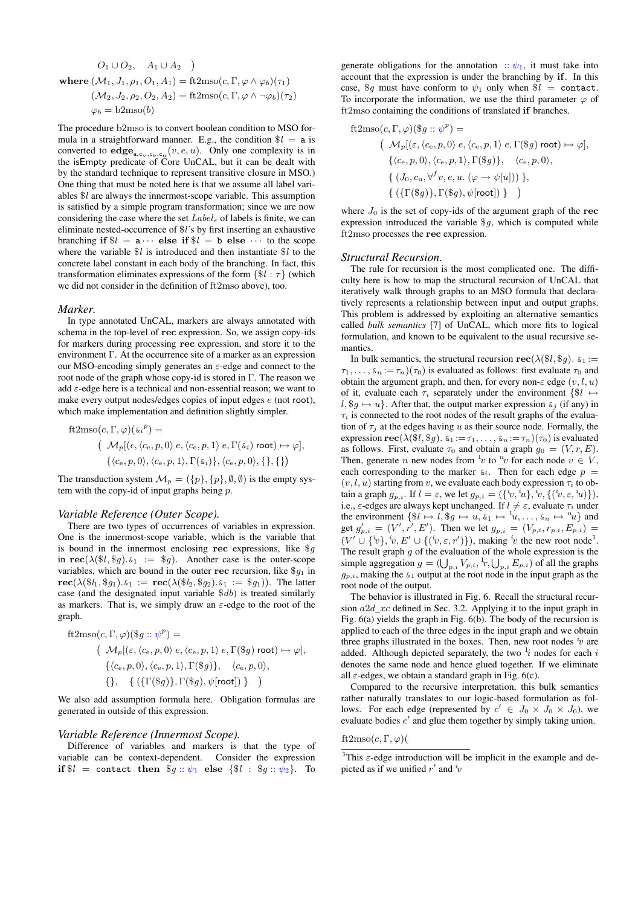$$
O_1 \cup O_2, \quad A_1 \cup A_2
$$
  
where  $(\mathcal{M}_1, J_1, \rho_1, O_1, A_1) = \text{ft2mso}(c, \Gamma, \varphi \wedge \varphi_b)(\tau_1)$   
 $(\mathcal{M}_2, J_2, \rho_2, O_2, A_2) = \text{ft2mso}(c, \Gamma, \varphi \wedge \neg \varphi_b)(\tau_2)$   
 $\varphi_b = \text{b2mso}(b)$ 

The procedure b2mso is to convert boolean condition to MSO formula in a straightforward manner. E.g., the condition  $\$l = \mathsf{a}$  is converted to  $\mathbf{edge}_{a,c_v,c_e,c_u}(v,e,u)$ . Only one complexity is in the isEmpty predicate of Core UnCAL, but it can be dealt with by the standard technique to represent transitive closure in MSO.) One thing that must be noted here is that we assume all label variables \$*l* are always the innermost-scope variable. This assumption is satisfied by a simple program transformation; since we are now considering the case where the set  $Label_{\epsilon}$  of labels is finite, we can eliminate nested-occurrence of \$*l*'s by first inserting an exhaustive branching if  $$l = a \cdots$  else if  $$l = b$  else  $\cdots$  to the scope where the variable \$*l* is introduced and then instantiate \$*l* to the concrete label constant in each body of the branching. In fact, this transformation eliminates expressions of the form  $\{\$l : \tau\}$  (which we did not consider in the definition of ft2mso above), too.

#### *Marker.*

In type annotated UnCAL, markers are always annotated with schema in the top-level of **rec** expression. So, we assign copy-ids for markers during processing **rec** expression, and store it to the environment Γ. At the occurrence site of a marker as an expression our MSO-encoding simply generates an *ε*-edge and connect to the root node of the graph whose copy-id is stored in Γ. The reason we add *ε*-edge here is a technical and non-essential reason; we want to make every output nodes/edges copies of input edges *e* (not root), which make implementation and definition slightly simpler.

$$
\begin{aligned} \text{ft2mso}(c, \Gamma, \varphi)(\varepsilon_i^p) &= \\ & \left( \begin{array}{c} \mathcal{M}_p[(\epsilon, \langle c_e, p, 0 \rangle \ e, \langle c_e, p, 1 \rangle \ e, \Gamma(\varepsilon_i) \ \text{root}) \mapsto \varphi], \\ \{\langle c_e, p, 0 \rangle, \langle c_e, p, 1 \rangle, \Gamma(\varepsilon_i)\}, \langle c_e, p, 0 \rangle, \{\}, \{\} \, \} \end{array} \right) \end{aligned}
$$

The transduction system  $\mathcal{M}_p = (\{p\}, \{p\}, \emptyset, \emptyset)$  is the empty system with the copy-id of input graphs being *p*.

#### *Variable Reference (Outer Scope).*

There are two types of occurrences of variables in expression. One is the innermost-scope variable, which is the variable that is bound in the innermost enclosing **rec** expressions, like \$*g* in  $\text{rec}(\lambda(\text{$8l, $g$}), \text{$\xi_1 := $g$}).$  Another case is the outer-scope variables, which are bound in the outer **rec** recursion, like  $\$_{g_1}$  in  $\text{rec}(\lambda(\text{$\mathcal{S}l_1,\text{$\mathcal{S}g_1$}}) \cdot \text{$\mathcal{S}_1$} := \text{rec}(\lambda(\text{$\mathcal{S}l_2,\text{$\mathcal{S}g_2$}}) \cdot \text{$\mathcal{S}_1$} := \text{$\mathcal{S}g_1$})$ . The latter case (and the designated input variable \$*db*) is treated similarly as markers. That is, we simply draw an *ε*-edge to the root of the graph.

ft2mso(c, 
$$
\Gamma
$$
,  $\varphi$ )( $\$g :: \psi^p$ ) =  
\n
$$
(\mathcal{M}_p[(\varepsilon, \langle c_e, p, 0 \rangle e, \langle c_e, p, 1 \rangle e, \Gamma(\$g) root) \mapsto \varphi],
$$
\n
$$
\{\langle c_e, p, 0 \rangle, \langle c_e, p, 1 \rangle, \Gamma(\$g)\}, \quad \langle c_e, p, 0 \rangle,
$$
\n
$$
\{\}, \quad \{ (\{\Gamma(\$g)\}, \Gamma(\$g), \psi[root]) \} )
$$

We also add assumption formula here. Obligation formulas are generated in outside of this expression.

#### *Variable Reference (Innermost Scope).*

Difference of variables and markers is that the type of variable can be context-dependent. Consider the expression **if**  $$l =$  contact **then**  $$g :: \psi_1$$  **else**  ${$l : $g :: \psi_2$}.$  To

generate obligations for the annotation  $\therefore \psi_1$ , it must take into account that the expression is under the branching by **if**. In this case,  $\oint g$  must have conform to  $\psi_1$  only when  $\oint l =$  contact. To incorporate the information, we use the third parameter  $\varphi$  of ft2mso containing the conditions of translated **if** branches.

ft2mso(c, 
$$
\Gamma
$$
,  $\varphi$ )( $\$g :: \psi^p$ ) =  
\n( $\mathcal{M}_p[(\varepsilon, \langle c_e, p, 0 \rangle \ e, \langle c_e, p, 1 \rangle \ e, \Gamma(\$g) \ root) \mapsto \varphi],$   
\n $\{\langle c_e, p, 0 \rangle, \langle c_e, p, 1 \rangle, \Gamma(\$g)\}, \quad \langle c_e, p, 0 \rangle,$   
\n $\{(J_0, c_u, \forall^f v, e, u. (\varphi \to \psi[u]))\},$   
\n $\{(\{\Gamma(\$g)\}, \Gamma(\$g), \psi[\text{root}])\}\})$ 

where *J*<sup>0</sup> is the set of copy-ids of the argument graph of the **rec** expression introduced the variable \$*g*, which is computed while ft2mso processes the **rec** expression.

#### *Structural Recursion.*

The rule for recursion is the most complicated one. The difficulty here is how to map the structural recursion of UnCAL that iteratively walk through graphs to an MSO formula that declaratively represents a relationship between input and output graphs. This problem is addressed by exploiting an alternative semantics called *bulk semantics* [7] of UnCAL, which more fits to logical formulation, and known to be equivalent to the usual recursive semantics.

In bulk semantics, the structural recursion  $\text{rec}(\lambda(\$l, \$g))$ .  $\epsilon_1 :=$  $\tau_1, \ldots, \xi_n := \tau_n(\tau_0)$  is evaluated as follows: first evaluate  $\tau_0$  and obtain the argument graph, and then, for every non-*ε* edge (*v, l, u*) of it, evaluate each  $\tau_i$  separately under the environment  $\{\$l \mapsto$  $l,$  \$*g*  $\mapsto$  *u*}. After that, the output marker expression  $\delta$ <sub>*i*</sub> (if any) in *τ<sup>i</sup>* is connected to the root nodes of the result graphs of the evaluation of  $\tau_j$  at the edges having *u* as their source node. Formally, the expression  $\text{rec}(\lambda(\text{$\mathcal{X}$}, \text{$\mathcal{Y}$}, g)$ .  $\zeta_1 := \tau_1, \ldots, \zeta_n := \tau_n)(\tau_0)$  is evaluated as follows. First, evaluate  $\tau_0$  and obtain a graph  $g_0 = (V, r, E)$ . Then, generate *n* new nodes from  $\frac{1}{v}$  to  $\frac{n}{v}$  for each node  $v \in V$ , each corresponding to the marker  $\&i$ . Then for each edge  $p =$  $(v, l, u)$  starting from *v*, we evaluate each body expression  $\tau_i$  to obtain a graph  $g_{p,i}$ . If  $l = \varepsilon$ , we let  $g_{p,i} = (\{i_v, i_u\}, i_v, \{(i_v, \varepsilon, i_u)\})$ , i.e.,  $\varepsilon$ -edges are always kept unchanged. If  $l \neq \varepsilon$ , evaluate  $\tau_i$  under the environment  $\{\$i \mapsto l, \$g \mapsto u, \&11 \mapsto {}^1u, \ldots, \&n \mapsto {}^n u\}$  and get  $g'_{p,i} = (V', r', E')$ . Then we let  $g_{p,i} = (V_{p,i}, r_{p,i}, E_{p,i}) =$  $(V' \cup \{v\}, v, E' \cup \{(v, \varepsilon, r')\})$ , making  $v'$  the new root node<sup>3</sup>. The result graph *g* of the evaluation of the whole expression is the simple aggregation  $g = (\bigcup_{p,i} V_{p,i}, \frac{1}{r}, \bigcup_{p,i} E_{p,i})$  of all the graphs  $g_{p,i}$ , making the  $\zeta_1$  output at the root node in the input graph as the root node of the output.

The behavior is illustrated in Fig. 6. Recall the structural recursion *a*2*d*\_*xc* defined in Sec. 3.2. Applying it to the input graph in Fig. 6(a) yields the graph in Fig. 6(b). The body of the recursion is applied to each of the three edges in the input graph and we obtain three graphs illustrated in the boxes. Then, new root nodes *<sup>i</sup> v* are added. Although depicted separately, the two  $\frac{1}{i}$  nodes for each  $i$ denotes the same node and hence glued together. If we eliminate all  $\varepsilon$ -edges, we obtain a standard graph in Fig. 6(c).

Compared to the recursive interpretation, this bulk semantics rather naturally translates to our logic-based formulation as follows. For each edge (represented by  $c' \in J_0 \times J_0 \times J_0$ ), we evaluate bodies *e ′* and glue them together by simply taking union.

ft2mso $(c, \Gamma, \varphi)$ 

<sup>&</sup>lt;sup>3</sup>This  $\varepsilon$ -edge introduction will be implicit in the example and depicted as if we unified  $r'$  and  $\dot{v}$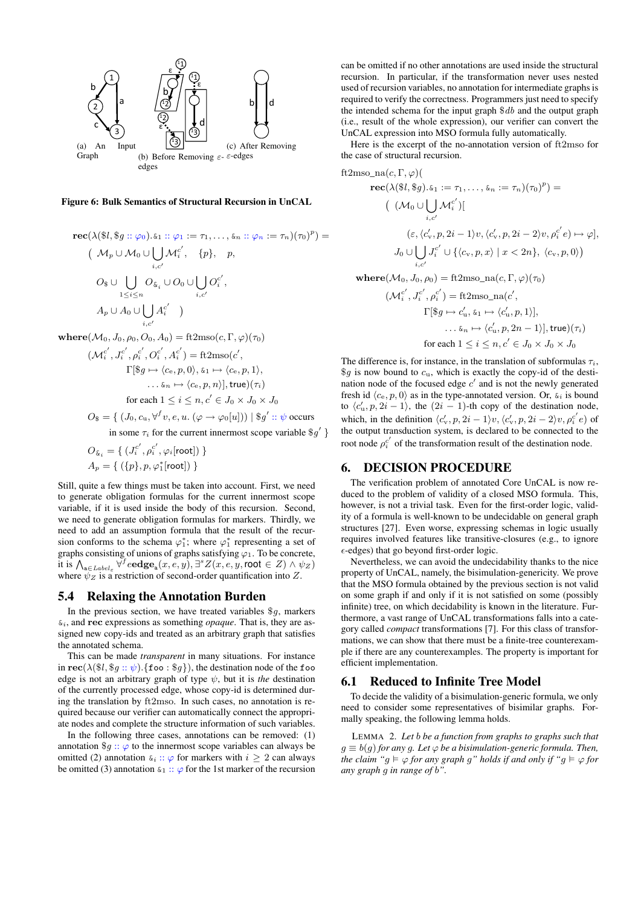

#### Figure 6: Bulk Semantics of Structural Recursion in UnCAL

$$
\begin{aligned}\n\text{rec}(\lambda(\$l, \$g::\varphi_0).\&\subseteq_1::\varphi_1:=\tau_1,\ldots,\&\subseteq_n::\varphi_n:=\tau_n)(\tau_0)^p) \\
 & \quad \left(\begin{array}{c} \mathcal{M}_p \cup \mathcal{M}_0 \cup \bigcup_{i,c'} \mathcal{M}_i^{c'}, & \{p\}, & p, \end{array}\right. \\
 &\quad O_{\$} \cup \bigcup_{1 \leq i \leq n} O_{\& i} \cup O_0 \cup \bigcup_{i,c'} O_i^{c'}, \\
 & \quad A_p \cup A_0 \cup \bigcup_{i,c'} A_i^{c'}\n \end{array}\n \end{aligned}
$$
\n
$$
\text{where}(\mathcal{M}_0, J_0, \rho_0, O_0, A_0) = \text{ft2mso}(c, \Gamma, \varphi)(\tau_0)
$$
\n
$$
(\mathcal{M}_i^{c'}, J_i^{c'}, \rho_i^{c'}, \rho_i^{c'}, A_i^{c'}) = \text{ft2mso}(c', \mathcal{M}_i^{c'})
$$

$$
\Gamma[\$g \mapsto \langle c_{\rm e}, p, 0 \rangle, \, \varepsilon_{1} \mapsto \langle c_{\rm e}, p, 1 \rangle, \\
 \dots \varepsilon_{n} \mapsto \langle c_{\rm e}, p, n \rangle], \text{true}(\tau_{i})
$$
\n
$$
\text{for each } 1 \leq i \leq n, c' \in J_{0} \times J_{0} \times J_{0}
$$

 $O_{\$} = \{ (J_0, c_u, \forall^f v, e, u. (\varphi \rightarrow \varphi_0[u])) \mid \$g' :: \psi \text{ occurs}$ in some  $\tau_i$  for the current innermost scope variable  $\mathcal{G}'$  }

$$
\begin{aligned} O_{\bm{\mathcal{S}}_i} &= \{~(J_i^{c'}, \rho_i^{c'}, \varphi_i[\mathsf{root}])~\} \\ A_p &= \{~(\{p\}, p, \varphi_1^*[\mathsf{root}])~\} \end{aligned}
$$

Still, quite a few things must be taken into account. First, we need to generate obligation formulas for the current innermost scope variable, if it is used inside the body of this recursion. Second, we need to generate obligation formulas for markers. Thirdly, we need to add an assumption formula that the result of the recursion conforms to the schema  $\varphi_1^*$ ; where  $\varphi_1^*$  representing a set of graphs consisting of unions of graphs satisfying  $\varphi_1$ . To be concrete,  $\mathcal{A}$  it is  $\bigwedge_{a \in \text{Label}_{\varepsilon}} \forall^{\text{f}} e$ **edge**<sub>a</sub> $(x, e, y)$ ,  $\exists^{\text{s}} Z(x, e, y, \text{root} \in Z) \land \psi_Z$ where  $\psi_Z$  is a restriction of second-order quantification into Z.

#### 5.4 Relaxing the Annotation Burden

In the previous section, we have treated variables \$*g*, markers &*i*, and **rec** expressions as something *opaque*. That is, they are assigned new copy-ids and treated as an arbitrary graph that satisfies the annotated schema.

This can be made *transparent* in many situations. For instance in  $\text{rec}(\lambda(\text{$8l}, \text{$8q::$}\psi)$ . {foo:  $\text{$8q$}\})$ , the destination node of the foo edge is not an arbitrary graph of type  $\psi$ , but it is *the* destination of the currently processed edge, whose copy-id is determined during the translation by ft2mso. In such cases, no annotation is required because our verifier can automatically connect the appropriate nodes and complete the structure information of such variables.

In the following three cases, annotations can be removed: (1) annotation  $\mathcal{S}g$  ::  $\varphi$  to the innermost scope variables can always be omitted (2) annotation  $\delta_i$  ::  $\varphi$  for markers with  $i \geq 2$  can always be omitted (3) annotation  $\kappa_1$  ::  $\varphi$  for the 1st marker of the recursion

can be omitted if no other annotations are used inside the structural recursion. In particular, if the transformation never uses nested used of recursion variables, no annotation for intermediate graphs is required to verify the correctness. Programmers just need to specify the intended schema for the input graph \$*db* and the output graph (i.e., result of the whole expression), our verifier can convert the UnCAL expression into MSO formula fully automatically.

Here is the excerpt of the no-annotation version of ft2mso for the case of structural recursion.

ft2mso\_na(c, 
$$
\Gamma
$$
,  $\varphi$ )(  
\nrec( $\lambda$ (\$*l*, \$*g*). $\varepsilon_1 := \tau_1, ..., \varepsilon_n := \tau_n$ )( $\tau_0$ )<sup>*p*</sup>) =  
\n( $(M_0 \cup \bigcup_{i,c'} M_i^{c'})$ [  
\n( $\varepsilon$ ,  $\langle c'_v, p, 2i - 1 \rangle v, \langle c'_v, p, 2i - 2 \rangle v, \rho_i^{c'} e) \mapsto \varphi$ ],  
\n $J_0 \cup \bigcup_{i,c'} J_i^{c'} \cup \{ \langle c_v, p, x \rangle \mid x < 2n \}, \langle c_v, p, 0 \rangle$ )  
\nwhere( $M_0, J_0, \rho_0$ ) = ft2mso\_na(c,  $\Gamma$ ,  $\varphi$ )( $\tau_0$ )  
\n( $M_i^{c'}, J_i^{c'}, \rho_i^{c'}$ ) = ft2mso\_na(c',  
\n $\Gamma[\$g \mapsto c'_u, \varepsilon_1 \mapsto \langle c'_u, p, 1 \rangle]$ ,  
\n... $\varepsilon_n \mapsto \langle c'_u, p, 2n - 1 \rangle]$ , true)( $\tau_i$ )

for each  $1 \leq i \leq n, c' \in J_0 \times J_0 \times J_0$ 

The difference is, for instance, in the translation of subformulas  $\tau_i$ ,  $\$ g is now bound to  $c<sub>u</sub>$ , which is exactly the copy-id of the destination node of the focused edge *c ′* and is not the newly generated fresh id  $\langle c_e, p, 0 \rangle$  as in the type-annotated version. Or,  $\epsilon_i$  is bound to  $\langle c'_u, p, 2i - 1 \rangle$ , the  $(2i - 1)$ -th copy of the destination node, which, in the definition  $\langle c'_v, p, 2i - 1 \rangle v, \langle c'_v, p, 2i - 2 \rangle v, \rho_i^{c'} e$  of the output transduction system, is declared to be connected to the root node  $\rho_i^{c'}$  of the transformation result of the destination node.

#### 6. DECISION PROCEDURE

The verification problem of annotated Core UnCAL is now reduced to the problem of validity of a closed MSO formula. This, however, is not a trivial task. Even for the first-order logic, validity of a formula is well-known to be undecidable on general graph structures [27]. Even worse, expressing schemas in logic usually requires involved features like transitive-closures (e.g., to ignore *ϵ*-edges) that go beyond first-order logic.

Nevertheless, we can avoid the undecidability thanks to the nice property of UnCAL, namely, the bisimulation-genericity. We prove that the MSO formula obtained by the previous section is not valid on some graph if and only if it is not satisfied on some (possibly infinite) tree, on which decidability is known in the literature. Furthermore, a vast range of UnCAL transformations falls into a category called *compact* transformations [7]. For this class of transformations, we can show that there must be a finite-tree counterexample if there are any counterexamples. The property is important for efficient implementation.

#### 6.1 Reduced to Infinite Tree Model

To decide the validity of a bisimulation-generic formula, we only need to consider some representatives of bisimilar graphs. Formally speaking, the following lemma holds.

LEMMA 2. *Let b be a function from graphs to graphs such that*  $g \equiv b(g)$  *for any g. Let*  $\varphi$  *be a bisimulation-generic formula. Then, the claim* " $g \models \varphi$  *for any graph*  $g$ " *holds if and only if* " $g \models \varphi$  *for any graph g in range of b".*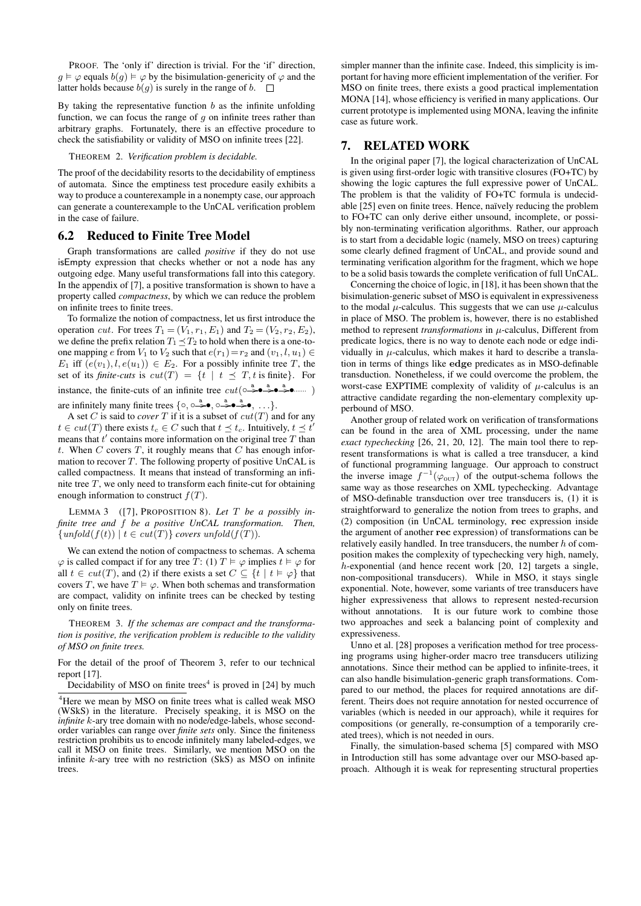PROOF. The 'only if' direction is trivial. For the 'if' direction, *g*  $\vdash \varphi$  equals *b*(*g*)  $\models \varphi$  by the bisimulation-genericity of  $\varphi$  and the latter holds because  $b(g)$  is surely in the range of *b*.  $\Box$ 

By taking the representative function *b* as the infinite unfolding function, we can focus the range of *g* on infinite trees rather than arbitrary graphs. Fortunately, there is an effective procedure to check the satisfiability or validity of MSO on infinite trees [22].

#### THEOREM 2. *Verification problem is decidable.*

The proof of the decidability resorts to the decidability of emptiness of automata. Since the emptiness test procedure easily exhibits a way to produce a counterexample in a nonempty case, our approach can generate a counterexample to the UnCAL verification problem in the case of failure.

### 6.2 Reduced to Finite Tree Model

Graph transformations are called *positive* if they do not use isEmpty expression that checks whether or not a node has any outgoing edge. Many useful transformations fall into this category. In the appendix of [7], a positive transformation is shown to have a property called *compactness*, by which we can reduce the problem on infinite trees to finite trees.

To formalize the notion of compactness, let us first introduce the operation *cut*. For trees  $T_1 = (V_1, r_1, E_1)$  and  $T_2 = (V_2, r_2, E_2)$ , we define the prefix relation  $T_1 \leq T_2$  to hold when there is a one-toone mapping *e* from  $V_1$  to  $V_2$  such that  $e(r_1)=r_2$  and  $(v_1, l, u_1) \in$ *E*<sub>1</sub> iff  $(e(v_1), l, e(u_1)) \in E_2$ . For a possibly infinite tree *T*, the set of its *finite-cuts* is  $cut(T) = \{t \mid t \leq T, t \text{ is finite}\}.$  For instance, the finite-cuts of an infinite tree  $cut(\circ \rightarrow^a \bullet \rightarrow^a \bullet \rightarrow^a \bullet \cdots)$ 

are infinitely many finite trees  $\{ \circ, \circ \stackrel{a}{\Rightarrow} \bullet, \circ \stackrel{a}{\Rightarrow} \bullet \stackrel{a}{\Rightarrow} \bullet, \ldots \}.$ 

A set *C* is said to *cover T* if it is a subset of  $cut(T)$  and for any  $t \in cut(T)$  there exists  $t_c \in C$  such that  $t \leq t_c$ . Intuitively,  $t \leq t'$ means that *t ′* contains more information on the original tree *T* than *t*. When *C* covers *T*, it roughly means that *C* has enough information to recover *T*. The following property of positive UnCAL is called compactness. It means that instead of transforming an infinite tree *T*, we only need to transform each finite-cut for obtaining enough information to construct *f*(*T*).

LEMMA 3 ([7], PROPOSITION 8). *Let T be a possibly infinite tree and f be a positive UnCAL transformation. Then,*  ${supfold(f(t)) \mid t \in cut(T)}$  *covers unfold*(*f*(*T*)).

We can extend the notion of compactness to schemas. A schema  $\varphi$  is called compact if for any tree *T*: (1)  $T \vDash \varphi$  implies  $t \vDash \varphi$  for all  $t \in cut(T)$ , and (2) if there exists a set  $C \subseteq \{t \mid t \models \varphi\}$  that covers *T*, we have  $T \models \varphi$ . When both schemas and transformation are compact, validity on infinite trees can be checked by testing only on finite trees.

THEOREM 3. *If the schemas are compact and the transformation is positive, the verification problem is reducible to the validity of MSO on finite trees.*

For the detail of the proof of Theorem 3, refer to our technical report [17].

Decidability of MSO on finite trees<sup>4</sup> is proved in  $[24]$  by much

simpler manner than the infinite case. Indeed, this simplicity is important for having more efficient implementation of the verifier. For MSO on finite trees, there exists a good practical implementation MONA [14], whose efficiency is verified in many applications. Our current prototype is implemented using MONA, leaving the infinite case as future work.

### 7. RELATED WORK

In the original paper [7], the logical characterization of UnCAL is given using first-order logic with transitive closures (FO+TC) by showing the logic captures the full expressive power of UnCAL. The problem is that the validity of FO+TC formula is undecidable [25] even on finite trees. Hence, naïvely reducing the problem to FO+TC can only derive either unsound, incomplete, or possibly non-terminating verification algorithms. Rather, our approach is to start from a decidable logic (namely, MSO on trees) capturing some clearly defined fragment of UnCAL, and provide sound and terminating verification algorithm for the fragment, which we hope to be a solid basis towards the complete verification of full UnCAL.

Concerning the choice of logic, in [18], it has been shown that the bisimulation-generic subset of MSO is equivalent in expressiveness to the modal  $\mu$ -calculus. This suggests that we can use  $\mu$ -calculus in place of MSO. The problem is, however, there is no established method to represent *transformations* in *µ*-calculus, Different from predicate logics, there is no way to denote each node or edge individually in  $\mu$ -calculus, which makes it hard to describe a translation in terms of things like **edge** predicates as in MSO-definable transduction. Nonetheless, if we could overcome the problem, the worst-case EXPTIME complexity of validity of  $\mu$ -calculus is an attractive candidate regarding the non-elementary complexity upperbound of MSO.

Another group of related work on verification of transformations can be found in the area of XML processing, under the name *exact typechecking* [26, 21, 20, 12]. The main tool there to represent transformations is what is called a tree transducer, a kind of functional programming language. Our approach to construct the inverse image  $f^{-1}(\varphi_{\text{out}})$  of the output-schema follows the same way as those researches on XML typechecking. Advantage of MSO-definable transduction over tree transducers is, (1) it is straightforward to generalize the notion from trees to graphs, and (2) composition (in UnCAL terminology, **rec** expression inside the argument of another **rec** expression) of transformations can be relatively easily handled. In tree transducers, the number *h* of composition makes the complexity of typechecking very high, namely, *h*-exponential (and hence recent work [20, 12] targets a single, non-compositional transducers). While in MSO, it stays single exponential. Note, however, some variants of tree transducers have higher expressiveness that allows to represent nested-recursion without annotations. It is our future work to combine those two approaches and seek a balancing point of complexity and expressiveness.

Unno et al. [28] proposes a verification method for tree processing programs using higher-order macro tree transducers utilizing annotations. Since their method can be applied to infinite-trees, it can also handle bisimulation-generic graph transformations. Compared to our method, the places for required annotations are different. Theirs does not require annotation for nested occurrence of variables (which is needed in our approach), while it requires for compositions (or generally, re-consumption of a temporarily created trees), which is not needed in ours.

Finally, the simulation-based schema [5] compared with MSO in Introduction still has some advantage over our MSO-based approach. Although it is weak for representing structural properties

<sup>&</sup>lt;sup>4</sup>Here we mean by MSO on finite trees what is called weak MSO (WSkS) in the literature. Precisely speaking, it is MSO on the *infinite k*-ary tree domain with no node/edge-labels, whose secondorder variables can range over *finite sets* only. Since the finiteness restriction prohibits us to encode infinitely many labeled-edges, we call it MSO on finite trees. Similarly, we mention MSO on the infinite *k*-ary tree with no restriction (SkS) as MSO on infinite trees.